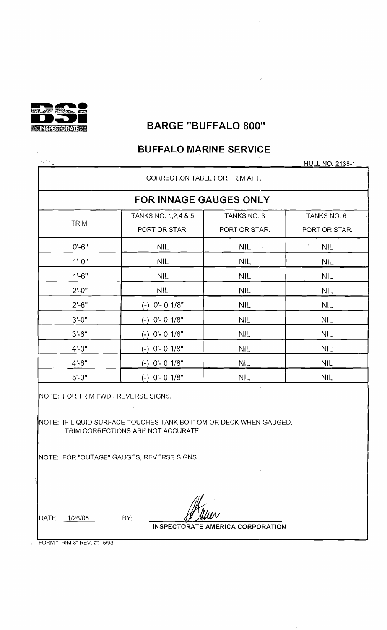

# \_~m§i'«>]Jm:B **BARGE "BUFFALO 800"**

# **BUFFALO MARINE SERVICE**

 $\frac{1}{2}$  ,  $\frac{1}{2}$  ,  $\frac{1}{2}$ 

HULL NO. 2138-1

|             | TANKS NO. 1,2,4 & 5 | TANKS NO. 3          | TANKS NO. 6   |
|-------------|---------------------|----------------------|---------------|
| <b>TRIM</b> | PORT OR STAR.       | PORT OR STAR.        | PORT OR STAR. |
| $0' - 6"$   | NIL.                | <b>NIL</b>           | <b>NIL</b>    |
| $1' - 0''$  | <b>NIL</b>          | <b>NIL</b>           | $\cdot$ NIL   |
| $1' - 6''$  | NIL.                | $\sim$<br><b>NIL</b> | <b>NIL</b>    |
| $2' - 0''$  | <b>NIL</b>          | <b>NIL</b>           | NIL.          |
| $2' - 6"$   | $(-)$ 0'- 0 1/8"    | <b>NIL</b>           | <b>NIL</b>    |
| $3' - 0''$  | $(-)$ O'- O 1/8"    | <b>NIL</b>           | <b>NIL</b>    |
| $3' - 6''$  | $(-)$ O'- O 1/8"    | <b>NIL</b>           | <b>NIL</b>    |
| $4' - 0''$  | $(-)$ 0'- 0 1/8"    | <b>NIL</b>           | <b>NIL</b>    |
| $4' - 6"$   | $(-)$ 0'- 0 1/8"    | <b>NIL</b>           | <b>NIL</b>    |
| $5 - 0$ "   | $(-)$ 0'- 0 1/8"    | NIL.                 | <b>NIL</b>    |

NOTE: IF LIQUID SURFACE TOUCHES TANK BOTTOM OR DECK WHEN GAUGED, TRIM CORRECTIONS ARE NOT ACCURATE.

NOTE: FOR "OUTAGE" GAUGES, REVERSE SIGNS.

DATE: 1/26/05 BY:

INSPECTORATE AMERICA CORPORATION

. FORM "TRIM-3" REV. #1 5/93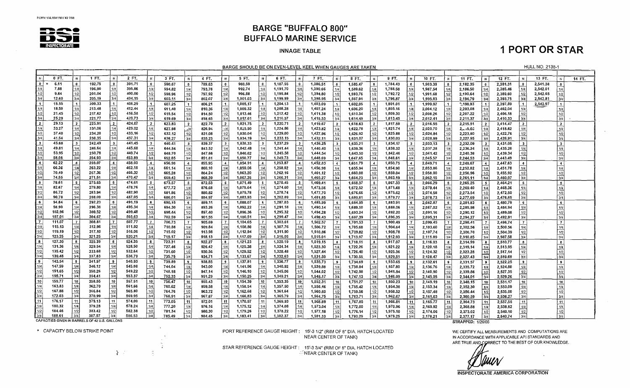

### **INNAGE TABLE**

## **1 PORT OR STAR**

**HULL NO. 2138-1** 

BARGE SHOULD BE ON EVEN-LEVEL KEEL WHEN GAUGES ARE TAKEN

|                              | 0 FT.  | - IN           | 1 FT.  |                | 2 FT.  | - IN                    | 3 FT.  | IN.                 | 4 FT.  |                                | 5 FT.    | IN               | 6 FT.         | <b>IN</b>       | 7 FT.    |                         | 8 FT.    |                            | 9 FT.       |                 | 10 FT.   |                | 11 FT.      | $\blacksquare$ | 12 FT.   | <b>IN</b>       | 13 FT.   | IN.                     | 14 FT. |
|------------------------------|--------|----------------|--------|----------------|--------|-------------------------|--------|---------------------|--------|--------------------------------|----------|------------------|---------------|-----------------|----------|-------------------------|----------|----------------------------|-------------|-----------------|----------|----------------|-------------|----------------|----------|-----------------|----------|-------------------------|--------|
| i o i                        | 6.11   | $\bullet$      | 192.75 | $\mathbf{0}$   | 391.71 | $\bullet$               | 590.67 | $\mathbf{0}$        | 789.63 | 0                              | 988.59   | $\bullet$        | 1,187.55      | 0               | 1,386.51 | $\overline{\mathbf{0}}$ | 1,585.47 | $\mathbf{0}$               | 1,784.43    | $\bullet$       | 1,983.39 |                | 2,182.35    | - 0 I          | 2,381.31 | $\overline{0}$  | 2,541.38 | $\mathbf{0}$            |        |
| 1/4                          | 7.88   | 1/4            | 196,90 | 1/4            | 395.86 | 1/4                     | 594.82 | 1/4                 | 793.78 | 1/4                            | 992.74   | 1/4              | 1,191.70      | 1/4             | 1,390.66 | 1/4                     | 1.589.62 | 1/4                        | 1,768.58    | 1/4             | 1,987.54 | 1/4            | 2.186.50    | 1/4            | 2,385.46 | 1/4             | 2.542.01 | 1/4                     |        |
| 1/2                          | 9.64   | 1/2            | 201.04 | 1/2            | 400.00 | 1/2                     | 598.96 | 1/2                 | 797.92 | 1/2                            | 996.88   | 1/2              | 1.195.84      | 11/21           | 1,394.80 | 1/2                     | 1.593.76 | 1/2                        | 1,792.72    | 1/2             | 1.991.68 | 1/2            | 2,190.64    | 1/2            | 2.389.60 | 1/2             | 2,542.65 | 1/2                     |        |
| 3/4                          | 12.60  | 3/4            | 205.19 | 3/4            | 404.15 | 3/4                     | 603,11 | 3/4                 | 802.07 | 3/4                            | 1.001.03 | 3/4              | 1.199,99      |                 | 1.398.95 | 3/4                     | 1.597,91 |                            | 1,796.87    | 3/4             | 1.995.83 | 3/4            | 2,194.79    | 3/4            | 2,393.75 | 3/4             | 2,542.81 | 3/4                     |        |
| l 1                          | 15.55  | $\mathbf{1}$   | 209.33 | l 1.           | 408.29 | $\vert$ 1               | 607.25 | $\mathbf{1}$        | 806.21 | $\blacksquare$                 | 1,005.17 | $\blacksquare$   | 1 204.13      | $\mathbf{1}$    | 1,403.09 | $\Delta$                | 1,602.05 |                            | 1,801.01    | $\blacksquare$  | 1,999.97 |                | 2,198.93    | $\blacksquare$ | 2,397.89 | $\blacksquare$  | 2,542.97 | $\vert$ 1               |        |
| 1/4                          | 18,50  | 1/4            | 213.48 | 1/4            | 412.44 | 1/4                     | 611.40 | 1/4                 | 810,36 | 1/4                            | 1,009.32 | 1/4              | 1,208.28      | 1/4             | 1,407.24 | 1/4                     | 1,606.20 |                            | 1,805.16    | 1/4             | 2,004.12 | 1/4            | 2,203,08    | 1/4            | 2,402.04 | 1/4             |          | 1/4                     |        |
| 1/2                          | 21.45  | 1/2            | 217.62 | 1/2            | 416.58 | 1/2                     | 615.54 | 1/2                 | 814.50 | 1/2                            | 1.013.46 | 1/2              | 1.212.42      | 1/2             | 1,411.38 | 1/2                     | 1.610.34 | 1/2                        | 1,809,30    | 1/2             | 2,008.26 | 1/2            | 2,207.22    | 1/2            | 2.406.18 | 1/2             |          | 1/2                     |        |
| 3/4                          | 25.29  | 3/4            | 221.77 | 3/4            | 420.73 | 3/4                     | 619.69 | 3/4                 | 818.65 | 3/4                            | 1.017.61 | 3/4              | 1.216.57      | 3/4             | 1,415.53 | 3/4                     | 1.614.49 |                            | 1,813.45    | 3/4             | 2.012.41 | 3/4            | 2,211.37    | 3/4            | 2.410.33 | 3/4             |          | 3/4                     |        |
| <b>2</b>                     | 29.13  | $\overline{z}$ | 225,91 | 2              | 424.87 | $\overline{2}$          | 623.83 | $\cdot$ 2           | 822.79 | $\overline{2}$                 | 1,021.75 | 2                | 1 2 2 0 . 7 1 | 21              | 1,419.67 | $\overline{2}$          | 1,618.63 |                            | 1,817.59    | $\vert$ 2       | 2,016.55 |                | 2,215.51    | $\overline{2}$ | 2,414.47 | 2 <sup>1</sup>  |          | $\overline{2}$          |        |
| 1/4                          | 33.27  | 1/4            | 230.06 | 1/4            | 429.02 | 1/4                     | 627.98 | 1/4                 | 826.94 | $\lceil \cdot \rceil/4 \rceil$ | 1,025.90 | 1/4              | 1.224.86      | 1/4             | 1,423.82 | 1/4                     | 1,622.78 | 1.41                       | $-1,821.74$ | 1/4             | 2,020.70 | 1/4            | $2 - 19.60$ | 1/4            | 2,418.62 | 1/4             |          | 1/4                     |        |
| 1/2                          | 37.40  | 1/2            | 234.20 | 1/2            | 433.16 | 1/2                     | 632.12 | 1/2                 | 831.08 | 1/2                            | 1,030.04 | 1/2              | 1,229,00      | 1/2             | 1,427.96 | 1/2                     | 1.626.92 | 1/2                        | 1,825.88    | 1/2             | 2.024.84 | 1/2            | 2,223.80    | 1/2            | 2,422.76 | 1/2             |          | 1/2                     |        |
| 3/4                          | 41.54  | 3/4            | 238.35 | 3/4            | 437.31 | 3/4                     | 636.27 | 13/4                | 835.23 | 3/4                            | 1.034.19 | 3/4              | 1.233.15      | 3/4             | 1,432.11 | 3/4                     | 1.631.07 | 3/4                        | 1,830.03    | 3/4             | 2.028.99 | 3/4            | 2,227.95    | 3/4            | 2,426.91 | 3/4             |          | 3/4                     |        |
| ŀз                           | 45.68  | 3              | 242.49 | lз             | 441.45 | $\overline{\mathbf{3}}$ | 640.41 | $\mathbf{3}$        | 839.37 | 3                              | 1.038,33 | 3                | 1,237.29      | -34             | 1,436.25 | 3                       | 1,635.21 | $\vert$ 3.1                | 1,834.17    | -31             | 2,033.13 | 3 <sup>1</sup> | 2,232.09    | $\vert$ 3      | 2.431.05 | -31             |          | $\overline{\mathbf{3}}$ |        |
| 1/4                          | 49.81  | 1/4            | 246.64 | † 1/4          | 445.60 | 1/4                     | 644.56 | 1/4                 | 843.52 | 1/4                            | 1.042.48 | 1/4              | 1,241.44      | 1/4             | 1,440.40 | 1/4                     | 1,639.36 | 1/4                        | 1,838.32    | 1/4             | 2,037.28 | 1/4            | 2,236.24    | 1/4            | 2,435.20 | 1/4             |          | 1/4                     |        |
| 1/2                          | 53.95  | 1/2            | 250.78 | 1/2            | 449.74 | 1/2                     | 648.70 | 1/2                 | 847.66 | 1/2                            | 1,046.62 | 1/2              | 1.245.58      | 1/2             | 1,444.54 | 1/2                     | 1,643.50 | 1/21                       | 1,842.46    | 1/2             | 2,041.42 | 1/2            | 2,240.38    | 1/2            | 2,439.34 | 1/2             |          | 1/2                     |        |
| 3/4                          | 58.08  | 3/4            | 254,93 | 3/4            | 453.89 | 3/4                     | 652.85 | 3/4                 | 851.81 | 3/4                            | 1,050,77 | 3/4              | 1,249.73      | ا 3/4 ا         | 1,448.69 | 3/4                     | 1,647.65 | 3/4                        | 1,846.61    | 3/4             | 2,045.57 | 3/4            | 2,244.53    | 3/4            | 2,443.49 | 3/4             |          | 3/4                     |        |
| Г4                           | 62.22  | $\overline{4}$ | 259.07 | $\vert$ 4      | 458.03 | $\overline{4}$          | 656.99 | $\vert$ 4           | 855,95 | $\sim$                         | 1,054.91 | $\sim$           | 1.253,87      | $\overline{4}$  | 1,452.83 | $\overline{4}$          | 1,651.79 | $\vert$ 4 $\vert$          | 1,850.75    | $\overline{4}$  | 2,049,71 |                | 2,248.67    | $\overline{4}$ | 2,447.63 | $\vert$ 4       |          | $\overline{4}$          |        |
| 174                          | 66.36  |                | 263,22 | 1/4            | 462.18 | 1/4                     | 661.14 | 1/4                 | 860.10 | 1/4                            | 1,059.06 | 1/4              | 1.258.02      | l 1/4 i         | 1.456.98 | 1/4                     | 1,655.94 | 1/4                        | 1,854.90    | 1/4             | 2,053,86 | 1/4            | 2,252.82    | 1/4            | 2,451.78 | 1/4             |          | 1/4                     |        |
| $\frac{1}{2}$                | 70.49  | 1/2            | 267.36 | 11/2           | 466.32 | 1/2                     | 665.28 | 1/2                 | 864.24 | 1/2                            | 1,063.20 | 1/2              | 1.262.16      | 1/2             | 1,461.12 | 1/2                     | 1,660.08 | 1/2                        | 1,859.04    | 1/2             | 2,058.00 | 1/2            | 2,256.96    | 1/2            | 2,455.92 | 1/2             |          | 1/2                     |        |
| 3/4                          | 74.55  | 3/4            | 271.51 | 3/4            | 470.47 | 3/4                     | 669.43 | 3/4                 | 868,39 | 3/4                            | 1,067.35 | 3/4              | 1.266.31      | 3/4             | 1,465.27 | 3/4                     | 1,664.23 | 3/4                        | 1,863.19    | 3/4             | 2.062.15 | 3/4            | 2,261.11    | 3/4            | 2,460.07 | 3/4             |          | 3/4                     |        |
| I 5                          | 78.61  | - 5            | 275.65 | l 5            | 474.61 | 5                       | 673.57 | 5                   | 872.53 | 5                              | 1,071.49 | 5                | 1,270.45      | 5 <sup>1</sup>  | 1,469,41 | 5                       | 1,668.37 | - 5                        | 1,867.33    | $5^{\circ}$     | 2.066,29 | 5 <sup>5</sup> | 2,265.25    | - 5 1          | 2,464.21 | 5 <sub>3</sub>  |          | 5 <sup>1</sup>          |        |
| 1/4                          | 82.67  | 1/4            | 279.80 | 1/4            | 478,76 | 1/4                     | 677.72 | 1/4                 | 876.68 | 1/4                            | 1.075.64 | 1/4              | 1.274.60      | 1/4             | 1,473.56 | 1/4                     | 1,672.52 | 1/4                        | 1.871.48    | 1/4             | 2.070.44 | 1/4            | 2,269.40    | 1/4            | 2.468.36 | 1/4             |          | 1/4                     |        |
| 112                          | 86.72  | 1/2            | 283.94 | 1/2            | 482,90 | 1/2                     | 681,86 | 1/2                 | 880.82 | 11/2                           | 1.079.78 | 1/2              | 1.278.74      | 1/2             | 1,477.70 | 1/2                     | 1,676.66 | 1121                       | 1,875.62    | 1/2             | 2,074.58 | 1/2            | 2,273.54    | 1/2            | 2,472.50 | 1/2             |          | 1/2                     |        |
| 3/4                          | 90.78  | 3/4            | 288.09 | 3/4            | 487.05 | 3/4                     | 686.01 | 3/4                 | 884.97 | 3/4                            | 1.083.93 | 3/4              | 1.282.89      | 3/4             | 1,481.85 | 3/4                     | 1.680.81 | 3/4                        | 1,879.77    | 3/4             | 2,078.73 | 3/4            | 2,277.69    | 3/4            | 2,476,65 | 3/4             |          | 3/4                     |        |
| $\overline{\cdot}$           | 94.84  | 6              | 292,23 | 6              | 491.19 | 6                       | 690.15 | 6                   | 889.11 | ∣ 6⊧                           | 1,088.07 | -6               | 1,287.03      | -61             | 1,485.99 | 6                       | 1,684.95 | -61                        | 1,883.91    | 6               | 2,082.87 |                | 2,281.83    | -61            | 2,480.79 | $6 -$           |          | -61                     |        |
| 1/4                          | 98.90  | 1/4            | 296.38 | 1/4            | 495.34 | 1/4                     | 694.30 | 1/4                 | 893.26 | 1/4                            | 1,092.22 | 1/4              | 1,291.18      | 1/4             | 1,490.14 | 1/4                     | 1,689.10 | 1/4                        | 1,888.06    | 1/4             | 2,087,02 | 1/4            | 2,285.98    | 1/4            | 2.484.94 | 1/4             |          | 1/4                     |        |
| 1/2                          | 102.96 | 1/2            | 300.52 | 1/2            | 499.48 | 1/2                     | 698.44 | 1/2                 | 897.40 | 1/2                            | 1.096.36 | 1/2              | 1.295.32      | 1/2             | 1,494.28 | 1/2                     | 1,693.24 | l 1/2 l                    | 1,892.20    | 1/2             | 2,091.16 | 1/2            | 2,290.12    | 1/2            | 2,489.08 | 1/2             |          | 1/2                     |        |
| 3/4                          | 107.01 | 3/4            | 304.67 | 3/4            | 503.63 | 3/4                     | 702.59 | 3/4                 | 901.55 | 3/4                            | 1,100.51 | 3/4              | 1.299.47      | 3/4             | 1,498.43 | 3/4                     | 1.697.39 | 3/4                        | 1,896.35    | 3/4             | 2,095,31 | 3/4            | 2,294.27    | 3/4            | 2,492,91 | 3/4             |          | 3/4                     |        |
| i 7                          | 111.07 | $\overline{7}$ | 308.81 | $\overline{7}$ | 507.77 | $\overline{7}$          | 706.73 | l 7 I               | 905,69 | $\overline{7}$                 | 1.104.65 | $\overline{7}$   | 1,303.61      | 7 <sup>1</sup>  | 1,502.57 | $\vert$ 7               | 1.701.53 |                            | 1,900.49    | - 7 1           | 2,099.45 | - 7 1          | 2,298.41    | <b>7</b>       | 2,496.74 | $\mathbf{7}$    |          | $ \bar{7} $             |        |
| 1/4                          | 115.13 | 1/4            | 312.96 | 1/4            | 511.92 | 1/4                     | 710.88 | 1/4                 | 909.84 | 1/4                            | 1,108.80 | 1/4              | 1,307.76      | 1/4             | 1,506.72 | 1/4                     | 1,705.68 | 1/4                        | 1,904.64    | 1/4             | 2,103.60 | i 1/4 l        | 2,302.56    | 1/4            | 2,500.56 | 1/4             |          | 1/4                     |        |
| 1/2                          | 119.19 | 1/2            | 317.10 | 1/2            | 516,06 | 1/2                     | 715.02 | 1/2                 | 913,98 | 1/2                            | 1,112.94 | 1/2              | 1,311.90      | 1/2             | 1,510,86 | 1/2                     | 1,709.82 | i 1/2 l                    | 1,908.78    | 1/2             | 2,107,74 | 1/2            | 2,306.70    | 1/2            | 2,504.39 | 1/2             |          | 1/2                     |        |
| $\left  \frac{3}{4} \right $ | 123.25 | 3/4            | 321.25 | 3/4            | 520.21 | 3/4                     | 719.17 | 3/4                 | 918.13 | 3/4                            | 1,117,09 | 3/4              | 1.316.05      | 3/4             | 1,515.01 | 3/4                     | 1.713.97 | 3/4                        | 1.912.93    | 3/4             | 2,111.89 | 3/4            | 2,310.85    | 3/4            | 2,507.58 | 3/4             |          | 3/4                     |        |
| 8                            | 127.30 | 8              | 325.39 | - 8            | 524.35 | 8                       | 723,31 | 8                   | 922.27 | 8                              | 1,121.23 | $\mathbf{B}$     | 1,320.19      | -81             | 1,519.15 | $\mathbf{g}$            | 1,718.11 | -81                        | 1,917.07    | $\mathbf{B}$    | 2,116.03 |                | 2,314.99    | - 8 I          | 2,510.77 | $\mathbf{8}$    |          | $\mathbf{B}$            |        |
| 1/4                          | 131.36 | 1/4            | 329.54 | 1/4            | 528.50 | 1/4                     | 727.46 | 1/4                 | 926.42 | 1/4                            | 1,125,38 | 1/41             | 1,324.34      | 1/4             | 1,523.30 | 1/4                     | 1,722.26 | 1/4                        | 1,921.22    | 1/4             | 2,120.18 | 1/4            | 2,319.14    | 1/4            | 2,513.95 | 1/4             |          | 1/4                     |        |
| 1/2                          | 135.42 | 1/2            | 333.68 | 1/2            | 532,64 | 1/2                     | 731.60 | 1/2                 | 930.56 | 1/2                            | 1,129.52 | 1/2              | 1,328.48      | 1/2             | 1,527.44 | 1/2                     | 1,726.40 | 1/2                        | 1,925.36    | 1/2             | 2,124.32 | 1/2            | 2,323.28    | 1/2            | 2,517.14 | 1/2             |          | 1/2                     |        |
| 3/4                          | 139.48 | 3/4            | 337,83 | 3/4            | 536.79 | 3/4                     | 735.75 | 3/4                 | 934.71 | 3/4                            | 1,133,67 | 3/4              | 1,332.63      | 3/4             | 1,531.59 | 3/4                     | 1,730.55 | 3/4                        | 1,929.51    | 3/4             | 2.128.47 | 3/4            | 2,327.43    | 3/4            | 2,519.69 | 3/4             |          | 3/4                     |        |
| 9                            | 143.54 | ∣9.            | 341.97 | 9              | 540.93 | -9                      | 739.89 | ∣ 9⊦                | 938.85 | ∣ 9.                           | 1,137.81 | $\bullet$        | 1 3 3 6 . 7 7 | -91             | 1,535,73 | 9                       | 1,734.69 |                            | 1,933.65    | -91             | 2,132,61 | -91            | 2,331.57    | ا و            | 2,522.25 | 9               |          | $\overline{\mathbf{S}}$ |        |
| 1/4                          | 147.59 | 1/4            | 346.12 | 1/4            | 545.08 | 1/4                     | 744.04 | 1/4                 | 943.00 | 1/4                            | 1,141.96 | 1/4              | 1,340,92      | 1/4             | 1,539,88 | 1/4                     | 1,738.84 | 1/4                        | 1,937.80    | 1/4             | 2,136.76 | 1/4            | 2,335.72    | 1/4            | 2,524.80 | 1/4             |          | 1/4                     |        |
| 11/2                         | 151.65 | 1/2            | 350.26 | 1/2            | 549.22 | 1/2                     | 748,18 | 1/2                 | 947.14 | 1/2                            | 1,146.10 | 1/2              | 1.345.06      | 1/2             | 1,544.02 | 1/2                     | 1,742.98 | 1/2                        | 1,941.94    | 1/2             | 2,140.90 | 1/2            | 2,339.86    | 1/2            | 2,527.35 | 1/2             |          | 1/2                     |        |
| 3/4                          | 155.71 | 3/4            | 354.41 | 3/4            | 553.37 | 3/4                     | 752.33 | 3/4                 | 951.29 | 3/4                            | 1,150.25 | 3/4              | 1,349.21      | 3/4             | 1,548.17 | 3/4                     | 1,747.13 | 3/4                        | 1,946.09    | 3/4             | 2,145,05 | 3/4            | 2.344.01    | 3/4            | 2.529.26 | 3/4             |          | 3/4                     |        |
| 10                           | 159,77 | 10             | 358.55 | 10             | 557.51 | 10                      | 756,47 | 10                  | 955.43 | 10                             | 1,154.39 | 10 <sup>10</sup> | 1.353,35      | 10 <sup>1</sup> | 1,552.31 | 10                      | 1,751.27 | ∣ 10 I                     | 1,950.23    | -10 l           | 2,149.19 | 10 l           | 2,348.15    | 10 I           | 2.531.17 | 10 <sup>1</sup> |          | 10 <sup>1</sup>         |        |
| 1/4                          | 163.83 | 1/4            | 362.70 | 1/4            | 561.66 | 1/4                     | 760.62 | 1/4                 | 959,58 | 1/4                            | 1,158.54 | 1/4              | 1,357.50      | 1/4             | 1,556.46 | 1/4                     | 1,755.42 | 1/4                        | 1,954.38    | 1/4             | 2,153.34 | 1/4            | 2,352.30    | 1/4            | 2,533.09 | 1/4             |          | 1/4                     |        |
| 1/2                          | 167.88 | 1/2            | 366.84 | 1/2            | 565.80 | 1/2                     | 764.76 | 1/2                 | 963.72 | 1/2                            | 1,162.68 | 1/2              | 1,361.64      | 1/2             | 1,560.60 | 1/2                     | 1,759.56 | 1/2                        | 1,958.52    | 1/2             | 2,157.48 | 1/2            | 2,356.44    | 1/2            | 2,535.00 | 1/2             |          | 1/2                     |        |
| 3/4                          | 172.03 | 3/4            | 370.99 | 3/4            | 569.95 | 3/4                     | 768.91 | 3/4                 | 967.87 | 3/4                            | 1.166.83 | 3/4              | 1,365.79      | 3/4             | 1,564.75 | 3/4                     | 1,763.71 | 3/4                        | 1,962.67    | 3/4             | 2,161.63 | 3/4            | 2,360.59    | 3/4            | 2,536.27 | 3/4             |          | 3/4                     |        |
| l 11 l                       | 176,17 | 11             | 375.13 | l 11           | 574.09 | 11                      | 773,05 | 11                  | 972.01 | l 11.                          | 1.170.97 | 11               | 1,369,93      | 11              | 1,568.89 | i 11 l                  | 1.767.85 | 11                         | 1,966.81    | 11 <sup>1</sup> | 2.165.77 | 11             | 2,364.73    | 11             | 2,537.55 | 11              |          | 111                     |        |
| 1/4                          | 180.32 | 1/4            | 379.28 | 1/4            | 578.24 | 1/4                     | 777.20 | 1/4                 | 976.16 | 1/4                            | 1,175,12 | 1/4              | 1.374.08      | 1/4             | 1,573.04 | 1/4                     | 1.772.00 | 1/4                        | 1,970.96    | 1/4             | 2.169.92 | 1/4            | 2,368.88    | 1/4            | 2,538,82 | 1/4             |          | 1/4                     |        |
| 1/2                          | 184.46 | 1/2            | 383.42 | 1/2            | 582.38 | 1/2                     | 781.34 | 1/2                 | 980.30 | 1/2                            | 1,179.26 | 1/2              | 1,378.22      | 1/2             | 1,577,18 | 1/2                     | 1,776.14 | J 1/2 J                    | 1,975.10    | 1/2             | 2,174.06 | 1/2            | 2,373.02    | $ 1/2\rangle$  | 2,540.10 | 1/2             |          | 1/2                     |        |
| $\sqrt{3/4}$                 | 188.61 | 3/4            | 387.57 | اهتقا          | 586.53 | 3/4                     | 785.49 | $\overline{\omega}$ | 984.45 | 34                             | 1 183 41 | 314              | 1.382.37      | 314             | 1.581.22 | انتدا                   | 1780.29  | $\overline{ \mathcal{A} }$ | 1979.25     | $\sqrt{2}$      | 2.179.21 | المتعا         | 2.277.47    | انتما          | 2540.74  | 201             |          | 211                     |        |

CAPACITIES GIVEN IN BARRELS OF 42 U.S. GALLONS

\* CAPACITY BELOW STRIKE POINT

 $\frac{\Delta}{2}$  ,  $\frac{\Delta}{2}$ 

 $\frac{A}{\lambda}$ 

### PORT REFERENCE GAUGE HEIGHT: 15'-3 1/2" (RIM OF 8" DIA. HATCH LOCATED NEAR CENTER OF TANK)

STAR REFERENCE GAUGE HEIGHT: 15'-3 3/4" (RIM OF 8" DIA. HATCH LOCATED

IN ACCORDANCE WITH APPLICABLE API STANDARDS AND ARE TRUE AND CORRECT TO THE BEST OF OUR KNOWLEDGE.

WE CERTIFY ALL MEASUREMENTS AND COMPUTATIONS ARE

STRAPPED: 1/26/05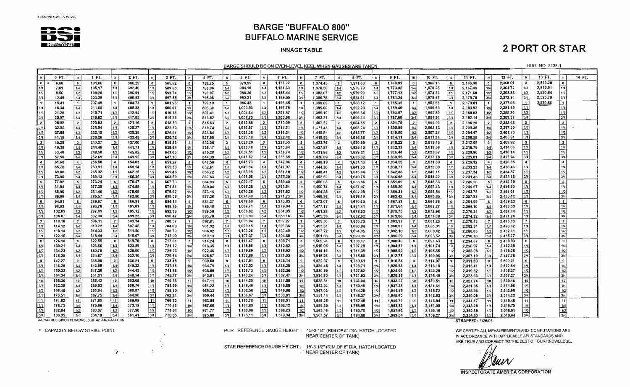

### **INNAGE TABLE**

## **2 PORT OR STAR**

**HULL NO. 2138-1** 

BARGE SHOULD BE ON EVEN-LEVEL KEEL WHEN GAUGES ARE TAKEN

|                                | 0 FT   |                       | 1 FT.         | W                | 2 FT.  | - IN                    | 3 FT.         | - 栂             | 4 FT.         | - IN           | 5 FT.    | H.                      | 6 FT.     | - 1N                    | 7 FT.     | - IN I                         | 8 FT.    | IN             | 9 FT.    | <b>IN</b>               | 10 FT.   | - IN           | 11 FT.   | <b>IN</b>                | 12 FT.       |                         | 13 FT.   |                  | 14 FT. |
|--------------------------------|--------|-----------------------|---------------|------------------|--------|-------------------------|---------------|-----------------|---------------|----------------|----------|-------------------------|-----------|-------------------------|-----------|--------------------------------|----------|----------------|----------|-------------------------|----------|----------------|----------|--------------------------|--------------|-------------------------|----------|------------------|--------|
| $\overline{\mathbf{0}}$        | 6.06   | $\mathbf{0}$          | 191.06        | $\bullet$        | 388,29 | $\bullet$               | 585.52        | $\bullet$       | 782.75        | $\bullet$      | 979,99   | $\mathbf{0}$            | 1,177.22  | $\mathbf{0}$            | 1,374.45  | $\mathbf{0}$                   | 1,571.68 | $\bullet$      | 1,768.91 | $\mathbf{0}$            | 1,966.15 | $\bullet$      | 2,163.38 | $\mathbf{0}$             | 2,360.61     | $\bullet$               | 2,519.28 | $\mathbf 0$      |        |
| 1/4                            | 7.81   | 1/4                   | 195.17        | 1/4              | 392,40 | 1/4                     | 589.63        | 1/4             | 786.86        | 1/4            | 984.10   | 1/4                     | 1.181.33  | 1/4                     | 1,378.56  | 1/4                            | 1,575.79 | 1/4            | 1,773.02 | 1/4                     | 1,970.25 | 1/4            | 2,167.49 | 1/4                      | 2.364.72     | 1/4                     | 2,519.91 | 1/4              |        |
| 1/2                            | 9.56   | 1/2                   | 199.28        | 1/2              | 396.51 | 1/2                     | 593.74        | 11/2            | 790.97        | 1/2            | 988.20   | 1/2                     | 1,185.44  | 1/2                     | 1,382,67  | 1/2                            | 1,579,90 | 1/2            | 1,777.13 | 1/2                     | 1,974.36 | 1/2            | 2,171.60 | 1/2                      | 2,368,83     | 1/2                     | 2,520.54 | 1/2              |        |
| 3/4                            | 12,49  | 3/4                   | 203.39        | 3/4              | 400.62 | 3/4                     | 597.85        | 3/4             | 795.08        | 3/4            | 992.31   | 3/4                     | 1,189.55  | 3/4                     | 1,386.78  | 3/4                            | 1,584.01 | 3/4            | 1,781,24 | 3/4                     | 1,978.47 | 3/4            | 2,175.70 | 3/4                      | 2,372.94     | 3/4 l                   | 2,520,70 | 3/4              |        |
| $\overline{\mathbf{1}}$        | 15.41  | $\mathbf{1}$          | 207.49        |                  | 404.73 | $\mathbf{1}$            | 601.96        | $\blacksquare$  | 799.19        | $\mathbf{1}$   | 996,42   | $\blacksquare$          | 1.193.65  | $\blacksquare$          | 1,390.89  | $\mathbf{1}$                   | 1,588.12 | $\mathbf{1}$   | 1,785.35 | $\mathbf{1}$            | 1,982.58 | $\lceil$ 1     | 2,179.81 | -11                      | 2,377.05     |                         | 2,520.86 | $\blacksquare$   |        |
| 1/4                            | 18.34  | 1/4                   | 211.60        | 1/4              | 408.83 | 1/4                     | 606.07        | 1/4             | 803.30        | 1/4            | 1,000.53 | 1/4                     | 1,197.76  | 1/4                     | 1,395.00  | 1/4                            | 1.592.23 | 1/4            | 1,789.46 | 1/4                     | 1,986.69 | 1/4            | 2,183,92 | 1/4                      | 2,381.15     | 1/4                     |          | 1/4              |        |
| 1/2                            | 21.26  | 1/2                   | 215.71        | 1/2              | 412.94 | 1/2                     | 610.18        | 11/2            | 807.41        | 1/2            | 1,004.64 | 1/2                     | 1,201.87  | 1/2                     | 1,399.10  | 1/2                            | 1.596,34 | 1/2            | 1,793.57 | 1/2                     | 1,990.80 | 1/2            | 2,188.03 | 1/2                      | 2,385.26     | 1/2                     |          | 1/2              |        |
| 3/4                            | 25.07  | 3/4                   | 219.82        | 3/4              | 417.05 | 3/4                     | 614.29        | l 3/4 l         | 811.52        | 3/4            | 1.008.75 | 3/4                     | 1,205.98  | 3/4                     | 1,403.21  | 3/4                            | 1,600,44 | 3/4            | 1,797.68 | 3/4                     | 1.994.91 | 3/4            | 2,192,14 | 3/4                      | 2,389,37     | 3/4                     |          | 3/4              |        |
| $\sqrt{2}$                     | 28.88  | $\overline{2}$        | 223.93        | $\overline{2}$   | 421.16 | $\overline{2}$          | 618.39        | $\overline{2}$  | 815.63        | $\overline{2}$ | 1.012.86 | $\overline{2}$          | 1,210.09  | $\overline{2}$          | 1,407.32  | <b>2</b>                       | 1,604.55 |                | 1,801.79 | $\overline{2}$          | 1,999.02 |                | 2,196.25 | $\overline{2}$           | 2,393.48     | $\overline{2}$          |          | $\overline{2}$   |        |
| $\mathcal{L}^{\prime\prime}$   | 32.36  | 1/4                   | 228,04        | 1/4              | 425.27 | 1/4                     | 622.50        | 1/4!            |               | 1/4            | 1,016.97 | 1/4                     | 1,214,2.3 | 1/4                     | 1, 11, 43 | 1/4                            | 1,603.36 | 1/4            | 1,805.89 | 1/4                     | 2,003.13 | 1/4            | 2,200.36 | 1/4                      | 2,397.59     | 1/4                     |          | 1/4              |        |
| $\overline{11/2}$              | 37.08  | 1/2                   | 232.15        | 1/2              | 429.38 | 1/2                     |               | 1/2             | 819.74        |                |          | 1/2                     | 1,218.31  | 1/2                     |           | 1/2                            |          | 1/2            |          | 1/2                     |          | 1/2            |          | 1/2                      | 2,401.70     | 1/2                     |          | 1/2              |        |
| 3/4                            |        | 3/4                   | 236.26        | 3/4              | 433.49 | 3/4                     | 626.61        | 3/4             | 823.84        | 1/2<br> 3/4    | 1,021.08 | 3/4                     |           | 3/4                     | 1,415.54  | 3/4                            | 1,612,77 | 3/4            | 1,810.00 | 3/4                     | 2,007.24 | 3/4            | 2,204.47 | 3/4                      | 2,405.81     | 3/4                     |          | 3/4              |        |
| $\sqrt{3}$                     | 41,18  | $\mathbf{3}$          |               | $\mathbf{3}$     |        |                         | 630.72        |                 | 827.95        |                | 1,025.19 | $\overline{\mathbf{3}}$ | 1,222.42  |                         | 1,419.65  |                                | 1,616.88 |                | 1,814.11 |                         | 2,011.34 |                | 2,208.58 |                          |              | $\overline{\mathbf{3}}$ |          | $\mathbf{3}$     |        |
|                                | 45.28  |                       | 240.37        |                  | 437.60 | $\overline{\mathbf{3}}$ | 634,83        | IЗ.             | 832.06        | <b>3</b>       | 1,029.29 |                         | 1.226.53  | $\overline{\mathbf{3}}$ | 1,423,76  | <b>3</b>                       | 1,620,99 | $\mathbf{3}$   | 1818.22  | $\overline{\mathbf{3}}$ | 2,015,45 | $\mathbf{3}$   | 2,212,69 | $\mathbf{3}$             | 2,409.92     | 1/4                     |          | 1/4              |        |
| 1/4                            | 49.38  | 1/4                   | 244.48        | 1/4              | 441.71 | 1/4                     | 638.94        | I 1/4           | 836.17        | l 1/4 l        | 1,033.40 | 1/4                     | 1.230.64  | 1/4                     | 1,427.87  | 1/4                            | 1,625.10 | 1/4            | 1,822.33 | 1/4                     | 2,019.56 | 1/4            | 2,216.79 | 1/4                      | 2,414.03     |                         |          |                  |        |
| 1/2                            | 53.48  | 1/2                   | 248.58        | 1/2              | 445.82 | 1/2                     | 643.05        | $\frac{1}{2}$   | 840.28        | i 1/2 l        | 1,037.51 | 1/2                     | 1,234.74  | 1/2                     | 1,431.98  | 1/2                            | 1,629.21 | 1/2            | 1,826,44 | 1/2                     | 2,023.67 | 1/2            | 2,220.90 | 1/2                      | 2,418.14     | 1/2                     |          | 1/2              |        |
| 3/4                            | 57,58  | 3/4                   | 252.69        | 3/4              | 449.92 | 3/4                     | 647.16        | 3/4             | 844.39        | 3/4            | 1,041.62 | 3/4                     | 1,238.85  | 3/4                     | 1,436.09  | 3/4                            | 1,633.32 | 3/4            | 1,830.55 | 3/4                     | 2,027.78 | 3/4            | 2,225.01 | 3/4                      | 2,422.24     | 3/4                     |          | 3/4              |        |
| ℾ                              | 61.68  | $\boldsymbol{A}$      | 256.80        | $\boldsymbol{d}$ | 454.03 | $-4$                    | 651.27        | $\overline{4}$  | 848.50        | $\sim$         | 1,045.73 | $\sim$ 4                | 1,242.96  | $\overline{4}$          | 1,440.19  | $\overline{4}$                 | 1,637.43 | $\overline{4}$ | 1,834.66 | $\vert$ 4               | 2,031.89 | $\overline{4}$ | 2,229.12 | $\sim$                   | 2,426.35     | $\overline{4}$          |          | $\overline{4}$   |        |
| 1/4                            | 65.78  | 1/4                   | 260.91        | 1/4              | 458.14 | 1/4                     | 655,38        | 1/4             | 852.61        | l 1/4 l        | 1,049.84 | 1/4                     | 1,247.07  | 1/4                     | 1,444.30  | 1/4                            | 1,641.53 | 1/4            | 1,838.77 | 1/4                     | 2,036.00 | 1/4            | 2,233.23 | 1/4                      | 2,430.46     | 1/4                     |          | 1/4              |        |
| 1/2                            | 69.88  | 1/2                   | 265.02        | 1/2              | 462.25 | 1/2                     | 659,48        | 1/2             | 856.72        | 1/2            | 1,053.95 | 1/2                     | 1,251,18  | 1/2                     | 1,448.41  | 1/2                            | 1,645.64 | 1/2            | 1.842.88 | 1/2                     | 2,040.11 | 1/2            | 2,237.34 | 1/2                      | 2 4 3 4 .5 7 | 1/2                     |          | 1/2              |        |
| 3/4                            | 73.90  | 3/4                   | 269.13        | 3/4              | 466,36 | 3/4                     | 663.59        | l 3/4           | 860.83        | ا 3/4          | 1,058.06 | 3/4                     | 1,255.29  | 3/4                     | 1.452.52  | 3/4                            | 1,649.75 | 3/4            | 1.846.98 | 3/4                     | 2,044.22 | 3/4            | 2,241.45 | $\overline{3/4}$         | 2,438.68     | 3/4                     |          | 3/4              |        |
| l 5                            | 77.92  | 5                     | 273.24        | $\sim$           | 470.47 | 5                       | 667.70        | 5               | 864.93        | ا 5            | 1.062.17 | 5                       | 1.259.40  | 5                       | 1,456.63  | 5 <sub>1</sub>                 | 1,653.86 | -5             | 1,851.09 | $\sim$                  | 2,048.33 | 5              | 2,245.56 | 5 <sup>1</sup>           | 2,442.79     | 5 <sup>1</sup>          |          | 5 <sup>1</sup>   |        |
| 1/4                            | 81,94  | 1/4                   | 277.35        | 1/4              | 474.58 | 1/4                     | 671.81        | 1/4             | 869,04        | l 1/4 l        | 1,066.28 | 1/4                     | 1,263.51  | 1/4                     | 1,460.74  | 1/4                            | 1,657,97 | 1/4            | 1,855,20 | 1/4                     | 2,052.43 | 1/4            | 2,249.67 | 1/4                      | 2,446.90     | 1/4                     |          | 1/4              |        |
| 1/2                            | 85,96  | 1/2                   | 281.46        | 1/2              | 478.69 | 1/2                     | 675.92        | 1/2             | 873,15        | 1/2            | 1,070,38 | 1/2                     | 1,267.62  | 1/2                     | 1,464.85  | 1/2                            | 1,662.08 | 1/2            | 1,859.31 | 1/2                     | 2,056.54 | 1/2            | 2,253.78 | 1/2                      | 2,451.01     | 1/2                     |          | $\overline{1/2}$ |        |
| 3/4                            | 89,99  | 3/4                   | 285,57        | 3/4              | 482.80 | 3/4                     | 680.03        | 3/4             | 877.26        | ا 3/4          | 1,074.49 | 3/4                     | 1,271.73  | 3/4                     | 1,468.96  | 3/4                            | 1,666.19 | 3/4            | 1,863.42 | 3/4                     | 2,060.65 | 3/4            | 2,257.88 | 3/4                      | 2,455.12     | 3/4                     |          | 3/4              |        |
| Γε                             | 94.01  | 6                     | 289.67        | 6                | 486.91 | 6 <sup>1</sup>          | 684.14        | $6^{\circ}$     | 881.37        | 6 I            | 1,078.60 | - 6 I                   | 1.275.83  | 6 <sup>1</sup>          | 1,473.07  | 6                              | 1,670.30 | 6              | 1,867.53 | 6                       | 2,064.76 |                | 2,261.99 | 6                        | 2.459.23     | 6                       |          | $\overline{6}$   |        |
| II 1/4 I                       | 98.03  | 1/4                   | 293,78        | 1/4              | 491.01 | 1/4                     | 688.25        | 1/4             | 885.48        | 1/4            | 1,082.71 | 1/4                     | 1,279.94  | 1/4                     | 1,477.18  | 1/4                            | 1,674.41 | 1/4            | 1,871.64 | 1/4                     | 2,068.87 | 1/4            | 2,266.10 | 1/4                      | 2.463.33     | 1/4                     |          | 1/4              |        |
| $\overline{1/2}$               | 102.05 | 1/2                   | 297.89        | 1/2              | 495.12 | 1/2                     | 692.36        | 1/2             | 889.59        | 112            | 1.086.82 | 1/2                     | 1.284.05  | 1/2                     | 1,481.28  | 1/2                            | 1,678,52 | 1/2            | 1.875.75 | 1/2                     | 2,072.98 | 1/2            | 2,270.21 | $1/2$                    | 2,467.44     | 1/2                     |          | 1/2              |        |
|                                | 106.07 | 3/4                   | 302.00        | 3/4              | 499.23 | 3/4                     | 696.47        | 3/4             | 893.70        | 1 3/4 1        | 1.090.93 | 3/4                     | 1.288.16  | 3/4                     | 1,485.39  | 3/4                            | 1,682.62 | 3/4            | 1,879.86 | 3/4                     | 2,077.09 | 3/4            | 2,274.32 | 3/4                      | 2,471.24     | 3/4                     |          | 3/4              |        |
| $\frac{3/4}{7}$                | 110.10 | $\overline{7}$        | 306,11        | $\overline{7}$   | 503.34 | - 7                     | 700.57        | $\vert$ 7       | 897.81        | $\overline{7}$ | 1,095.04 | 7                       | 1,292.27  | $\overline{7}$          | 1,489,50  | $\overline{7}$                 | 1,686.73 | $\mathbf{7}$   | 1,883,97 | $\overline{7}$          | 2,081.20 | $\overline{7}$ | 2,278.43 | $\tau$                   | 2,475.03     | - 7 I                   |          | $\overline{7}$   |        |
| 1/4                            | 114.12 | 1/4                   | 310.22        | 1/4              | 507.45 | 1/4                     | 704.68        | 1/4             | 901.92        | 1/4            | 1,099.15 | 1/4                     | 1.296.38  | 1/4                     | 1,493.61  | 1/4                            | 1,690.84 | 1/4            | 1,888.07 | 1/4                     | 2,085.31 | 1/4            | 2,282.54 | 1/4                      | 2,478.82     | 1/4                     |          | 1/4              |        |
| $\sqrt{1/2}$                   | 118.14 | 1/2                   | 314.33        | 1/2              | 511.56 | 1/2                     | 708,79        | 1/2             | 906,02        | 1/2            | 1,103.26 | 1/2                     | 1,300.49  | 1/2                     | 1,497.72  | 1/2                            | 1,694,95 | 1/2            | 1,892,18 | 1/2                     | 2,089.42 | 1/2            | 2,286.65 | 1/2                      | 2,482.61     | 1/2                     |          | 1/2              |        |
|                                | 122.16 | 3/4                   | 318.44        | 3/4              | 515.67 | 3/4                     | 712.90        | 3/4             | 910.13        | 3/4            | 1,107.37 | 3/4                     | 1,304.60  | 3/4                     | 1,501.83  | 3/4                            | 1,699.06 | 3/4            | 1,896.29 | 3/4                     | 2,093.52 | 3/4            | 2,290.76 | 3/4                      | 2,485.77     | 3/4                     |          | 3/4              |        |
| $\frac{3/4}{8}$                | 126.18 | <b>B</b>              | 322.55        | $\mathbf{B}$     | 519.78 | 8 <sub>1</sub>          | 717.01        | 8               | 914.24        | $\mathbf{8}$   | 1,111.47 | 8                       | 1,308.71  | 8                       | 1,505.94  | $\mathbf{B}$                   | 1,703.17 | $\bullet$      | 1,900.40 | 8 <sub>1</sub>          | 2,097.63 |                | 2,294.87 | $\mathbf{g}$             | 2.488.93     | $\vert$ 8               |          | 8                |        |
| $\sqrt{1/4}$                   | 130.21 | 1/4                   | 326,66        | 1/4              | 523.89 | 1/4                     | 721.12        | 1/4             | 918.35        | 1/4            | 1,115.58 | 1/4                     | 1,312.82  | 1/4                     | 1,510.05  | 1/4                            | 1,707.28 | 1/4            | 1,904.51 | 1/4                     | 2,101.74 | 1/4            | 2,298.97 | 1/4                      | 2,492.09     | 1/4                     |          | 1/4              |        |
| $\overline{1/2}$               | 134.23 | 1/2                   | 330.76        | 1/2              | 528.00 | 1/2                     | 725.23        | 1/2             | 922.46        | 1/2            | 1,119.69 | 1/2                     | 1,316.92  | 1/2                     | 1,514.16  | 1/2                            | 1.711.39 | 1/2            | 1,908.62 | 1/2                     | 2,105.85 | 1/2            | 2,303.08 | 1/2                      | 2,495.26     | 1/2                     |          | 1/2              |        |
| 3/4                            | 138.25 | 3/4                   | 334.87        | 3/4              | 532.10 | 3/4                     | 729.34        | 3/4             | 926.57        | 3/4            | 1,123.80 | 3/4                     | 1.321.03  | 3/4                     | 1,518.26  | 3/4                            | 1,715.50 | 3/4            | 1,912.73 | 3/4                     | 2,109.96 | 3/4            | 2,307.19 | 3/4                      | 2,497.78     | 3/4                     |          | 3/4              |        |
|                                | 142.27 | 9                     | 338.98        | 9                | 536.21 | 9 <sup>°</sup>          | 733,45        | ∣9.             | 930.68        | 9              | 1,127.91 | .و ا                    | 1,325.14  | -9                      | 1,522.37  | $\cdot$                        | 1,719.61 | 9              | 1,916.84 | -9                      | 2,114.07 |                | 2,311.30 | 9                        | 2,500.31     | 9                       |          | $\overline{9}$   |        |
| $\frac{9}{1/4}$                | 146.29 | 1/4                   | 343.09        | 1/4              | 540.32 | 1/4                     | 737.56        | 1/4             | 934.79        | 1/4            | 1,132.02 | 1/4                     | 1,329.25  | 1/4                     | 1,526.48  | 1/4                            | 1,723.71 | 1/4            | 1,920,95 | 1/4                     | 2.118.18 | 1/4            | 2,315.41 | 1/4                      | 2,502.84     | 1/4                     |          | 1/4              |        |
|                                | 150.32 | 1/2                   | 347.20        | 1/2              | 544.43 | 1/2                     | 741.66        | 1/2             | 938.90        | 1/2            | 1,136.13 | 1/2                     | 1,333.36  | 1/2                     | 1,530.59  | 1/2                            | 1,727.82 | 1/2            | 1,925.06 | 1/2                     | 2,122.29 | 1/2            | 2,319.52 | 1/2                      | 2,505.37     | 1/2                     |          | 1/2              |        |
| $\frac{1}{2}$<br>$\frac{1}{2}$ | 154,34 | 3/4                   | 351.31        | 3/4              | 548.54 | 3/4                     | 745.77        | 3/4             | 943.01        | 3/4            | 1,140.24 | 3/4                     | 1,337.47  | 3/4                     | 1,534.70  | 3/4                            | 1,731.93 | 3/4            | 1.929.16 | 3/4                     | 2,126.40 | 3/4            | 2,323.63 | 3/4                      | 2.507.27     | $\overline{34}$         |          | 3/4              |        |
|                                | 158.36 | 10                    | 355.42        | 10               | 552.65 | 10                      | 749.88        | 10 <sup>1</sup> | 947.11        | 10             | 1,144.35 | 10                      | 1,341.58  | 1 10 1                  | 1,538.81  |                                |          | 10             |          | -10 l                   |          |                |          |                          |              | 10                      |          | 10               |        |
| $\frac{10}{1/4}$               |        | 1/4                   |               | 1/4              | 556.76 | 1/4                     |               |                 |               |                | 1,148.46 | 1/4                     | 1,345.69  | 1/4                     |           | 10 <sup>1</sup><br>1/4         | 1,736.04 |                | 1,933.27 |                         | 2,130.51 | 10             | 2,327.74 | 10 <sup>1</sup>          | 2,509.16     | 1/4                     |          | 1/4              |        |
|                                | 162,38 |                       | 359.53        |                  |        | 1/2                     | 753,99        | 1/4             | 951.22        | 1/4            |          | 1/2                     |           |                         | 1,542.92  |                                | 1,740.15 | 1/4            | 1,937.38 | 1/4                     | 2,134.61 | 1/4            | 2,331.85 | 1/4                      | 2,511.06     |                         |          | 1/2              |        |
| 3/4                            | 166,40 | 1/2<br>3/4            | 363,64        | 1/2<br>3/4       | 560.87 | 3/4                     | 758.10        | 1/2             | 955.33        | 1/2  <br>  3/4 | 1,152.56 | 3/4                     | 1,349,80  | 1/2<br>3/4              | 1,547.03  | 1/2                            | 1,744.26 | 1/2            | 1,941.49 | 1/2                     | 2,138.72 | 1/2            | 2,335.96 | 1/2                      | 2,512.96     | 1/2<br>3/4              |          | 3/4              |        |
|                                | 170.51 |                       | 367.75        |                  | 564.98 |                         | 762.21        | 3/4             | 959,44        |                | 1,156.67 |                         | 1,353.91  |                         | 1,551.14  | 3/4                            | 1.748.37 | 3/4            | 1,945.60 | 3/4                     | 2.142.83 | 3/4            | 2,340.06 | 3/4                      | 2.514.22     |                         |          |                  |        |
| 11                             | 174.62 | 11                    | 371,85        | .11              | 569.09 | 111                     | 766.32        | 11              | 963.55        | i 11 i         | 1.160.78 | 11                      | 1,358,01  | 11                      | 1,555.25  | 11                             | 1,752.48 | 11             | 1,949.71 | 11                      | 2,146.94 | 11             | 2,344.17 | 11                       | 2.515.48     | 11 <sup>1</sup>         |          | 11               |        |
| 1/4                            | 178.73 | 1/4                   | 375.96        | 1/4              | 573.19 | 1/4                     | 770,43        | 1/4             | 967,66        | 1/4            | 1,164.89 | 1/4                     | 1.362.12  | 1/4                     | 1.559,35  | 1/4                            | 1.756.59 | 1/4            | 1,953.82 | 1/4                     | 2,151.05 | 1/4            | 2,348.28 | 1/4                      | 2,516.75     | 1/4                     |          | 1/4              |        |
| $\frac{1}{2}$                  | 182.84 | 1/2<br>$\overline{u}$ | 380.07        | 1/2<br>امتحا     | 577.30 | 1/2                     | 774.54        | 1/2             | 971.77        | 1/2            | 1,169.00 | 1/2<br>انمجا            | 1,366.23  | 1/2                     | 1.563.46  | 1/2<br>$\overline{\mathbf{a}}$ | 1,760.70 | 1/2            | 1,957.93 | 1/2<br>امتعا            | 2,155.16 | 1/2            | 2,352.39 | 1/2                      | 2,518.01     | 1/2                     |          | 1/2<br>314       |        |
|                                | 186.95 |                       | <b>384 18</b> |                  | 581.41 | 314                     | <b>778.65</b> | am l            | <b>975 88</b> | 3U             | 1 173 11 |                         | 1.370.34  | 314                     | 1.567.57  |                                | 1.764.80 | أنمده          | 1.962.04 |                         | 2.459.27 | $\sqrt{2}$     | 2.356.50 | $\overline{\phantom{a}}$ | 251864       | 3H                      |          |                  |        |

CAPACITIES GIVEN IN BARRELS OF 42 U.S. GALLONS

 $\mathcal{L}^{\mathcal{L}}$ 

\* CAPACITY BELOW STRIKE POINT

#### PORT REFERENCE GAUGE HEIGHT: 15'-3 1/4" (RIM OF 8" DIA. HATCH LOCATED NEAR CENTER OF TANK)

STAR REFERENCE GAUGE HEIGHT: 15'-3 1/2" (RIM OF 8" DIA, HATCH LOCATED  $N$  NEAR CENTER OF TANK)

IN ACCORDANCE WITH APPLICABLE API STANDARDS AND ARE TRUE AND CORRECT TO THE BEST OF OUR KNOWLEDGE.

STRAPPED: 1/26/05

WE CERTIFY ALL MEASUREMENTS AND COMPUTATIONS ARE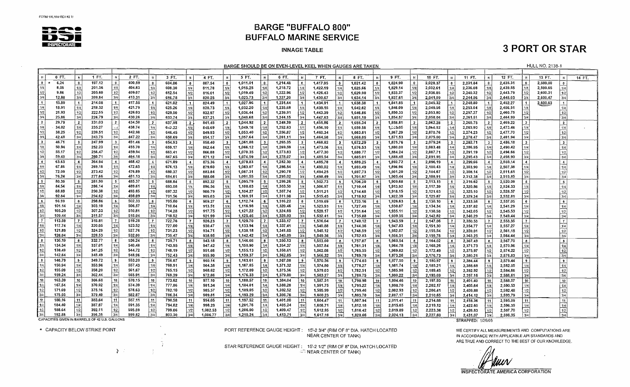

### **INNAGE TABLE**

## **3 PORT OR STAR**

**HULL NO. 2138-1** 

BARGE SHOULD BE ON EVEN-LEVEL KEEL WHEN GAUGES ARE TAKEN

|                                                                    | 0 FT.  | N                       | 1 FT.  | <b>IN</b>                                | 2 FT.  | <b>W</b>                | 3 FT.  | <b>IN</b>      | 4 FT.    | - IN           | 5 FT.                | 1N             | 6 FT.    |                | 7 FT.    | <b>IN</b>      | 8 FT.    | <b>IN</b>  | 9 FT.    | <b>W</b>       | 10 FT.   | 1 <sup>N</sup>   | 11 FT.   | <b>IN</b>      | 12 FT.   | W              | 13 FT.   | - 615                | 14 FT. |
|--------------------------------------------------------------------|--------|-------------------------|--------|------------------------------------------|--------|-------------------------|--------|----------------|----------|----------------|----------------------|----------------|----------|----------------|----------|----------------|----------|------------|----------|----------------|----------|------------------|----------|----------------|----------|----------------|----------|----------------------|--------|
|                                                                    | 6.24   | $\mathbf{0}$            | 197.12 | $\mathbf{0}$                             | 400.59 |                         | 604.06 | $\bullet$      | 807.54   | - 0            | 1,011.01             | $\bullet$      | 1,214.48 |                | 1,417.95 |                | 1,621.42 |            | 1,824.90 | $^{\circ}$     | 2,028.37 |                  | 2,231.84 | $\bullet$      | 2,435.31 | $\mathbf 0$    | 2,599.00 | $\mathbf{0}$         |        |
| $\frac{0}{1/4}$                                                    | 8,05   | 1/4                     | 201.36 | 1/4                                      | 404.83 | 1/4                     | 608.30 |                |          | 1/4            | 1,015.25             | 1/4            | 1,218.72 | 1/4            | 1,422.19 |                |          | 1/4        | 1,829.14 | 1/4            | 2,032.61 | 1/4              | 2,236.08 | 1/4            | 2,439.55 | 1/4            | 2,599.65 |                      |        |
|                                                                    | 9.86   |                         | 205.60 | 1/2                                      | 409.07 | 1/2                     |        | 1/4            | 811.78   |                |                      | 1/2            | 1,222.96 | 1/2            |          | 1/4            | 1,625.66 |            | 1,833.37 | 1/2            |          |                  |          |                |          | 1/2            |          | 1/4                  |        |
|                                                                    | 12.88  | 3/4                     | 209.84 | 3/4                                      | 413,31 | 3/4                     | 612.54 | 1/2<br>3/4     | 816,01   | 1/2<br>3/4     | 1,019.49<br>1.023.73 | 3/4            | 1.227.20 | 3/4            | 1,426.43 | 1/2<br>3/4     | 1,629.90 | 1/2<br>3/4 |          | 3/4            | 2,036.85 | 1/2<br>3/4       | 2.240.32 | 1/2            | 2,443.79 | 3/4            | 2,600.31 | 1/2                  |        |
| $\frac{1/2}{3/4}$ $\frac{1}{1/4}$ $\frac{1/4}{1/2}$                |        |                         |        |                                          |        |                         | 616.78 |                | 820.25   |                |                      |                |          |                | 1,430,67 |                | 1,634.14 |            | 1,837.61 |                | 2,041.09 |                  | 2,244.56 | 3/4            | 2,448.03 |                | 2.600.47 | 3/4                  |        |
|                                                                    | 15.89  |                         | 214.08 | $\blacktriangleleft$                     | 417.55 | $\overline{\mathbf{1}}$ | 621.02 | $\mathbf{1}$   | 824.49   |                | 1.027.96             | $\mathbf{1}$   | 1,231.44 |                | 1,434,91 |                | 1,638.38 |            | 1,841.85 | $\overline{1}$ | 2,045.32 |                  | 2,248.80 |                | 2,452.27 |                | 2,600.63 | $\blacktriangleleft$ |        |
|                                                                    | 18.91  | 1/4                     | 218.32 | 1/4                                      | 421.79 | 1/4                     | 625.26 | 1/4            | 828,73   | 1/4            | 1,032.20             | 1/4            | 1.235.68 | 1/4            | 1,439.15 | 1/4            | 1.642.62 | 1/4        | 1.846.09 | 1/4            | 2.049.56 | 1/4              | 2.253.04 | 1/4            | 2,456,51 | 1/4            |          | 1/4                  |        |
|                                                                    | 21.93  | 1/2                     | 222.55 | 1/2                                      | 426.03 | 1/2                     | 629,50 | 1/2            | 832.97   | 1/2            | 1,036.44             | 1/2            | 1,239.91 | 1/2            | 1,443.39 | 1/2            | 1,646.86 | 1/2        | 1,850.33 | 1/2            | 2,053.80 | 1/2              | 2.257.27 | 1/2            | 2,460.75 | 1/2            |          | 1/2                  |        |
| 3/4                                                                | 25,86  | 3/4                     | 226.79 | 3/4                                      | 430,26 | 3/4                     | 633,74 | 3/4            | 837.21   | 3/4            | 1,040.68             | 3/4            | 1,244.15 | 3/4            | 1.447.63 | 3/4            | 1,651.10 | 3/4        | 1,854.57 | 3/4            | 2,058.04 | 3/4              | 2.261.51 | 3/4            | 2,464.99 | 3/4            |          | 3/4                  |        |
| $\overline{2}$                                                     | 29.79  | $\overline{2}$          | 231.03 | $\overline{2}$                           | 434.50 | $\mathbf{z}$            | 637.98 | $\vert$ 2      | 841.45   | $\overline{2}$ | 1,044.92             | $\overline{2}$ | 1,248.39 | $\overline{2}$ | 1,451.86 | $\overline{2}$ | 1,655.34 |            | 1,858.81 | 2 <sup>1</sup> | 2,062,28 | $\overline{2}$   | 2,265.75 | 2 <sup>1</sup> | 2,469.22 | 2 <sup>1</sup> |          | 2 <sup>1</sup>       |        |
| 1/4                                                                | 34.02  | 1/4                     | 235.27 |                                          | 438.74 | 1/4                     | 642.22 | i 1/4 i        | 845.69   | 1/4            | 1,049.16             | 1/4            | 1,252,63 | 1/1            | 1,456.10 | 1/4            | 1,659.58 |            | 1,008.05 | 1/4            | 2.066.52 | 1/4              | 2,263.99 | 1/4            | 2,473.46 | 1/4            |          | 1/4                  |        |
|                                                                    | 38.25  | 1/2                     | 239.51 | 1/2                                      | 442.98 | 1/2                     | 646.45 | 1/2            | 849.93   | 1/2            | 1,053,40             | 1/2            | 1,256.87 | 1/2            | 1.460.34 | 1/2            | 1,663.81 | 1/2        | 1.867.29 | 1/2            | 2,070.76 | 1/2              | 2,274.23 | 1/2            | 2,477.70 | 1/2            |          | 1/2                  |        |
| $\frac{1/2}{3/4}$<br>$\frac{3}{1/4}$                               | 42.48  | 3/4                     | 243.75 | 3/4                                      | 447.22 | 3/4                     | 650.69 | 3/4            | 854.17   | 3/4            | 1.057.64             | 3/4            | 1,261.11 | 3/4            | 1,464.58 | 3/4            | 1,668.05 | 3/4        | 1.871.53 | 3/4            | 2,075.00 | 3/4              | 2,278.47 | 3/4            | 2.481.94 | 3/4            |          | 3/4                  |        |
|                                                                    | 46.71  | $\overline{\mathbf{3}}$ | 247.99 | $\mathbf{3}$                             | 451.46 | $\overline{\mathbf{3}}$ | 654.93 | 3              | 858,40   | $\mathbf{3}$   | 1.061.88             | 3 <sup>1</sup> | 1.265.35 | $\mathbf{3}$   | 1,468.82 | $\mathbf{3}$   | 1,672.29 |            | 1,875,76 | $\mathbf{3}$   | 2.079.24 |                  | 2,282.71 | 3 <sup>1</sup> | 2,486.18 | $\mathbf{3}$   |          | 3 <sup>1</sup>       |        |
|                                                                    | 50.94  | 1/4                     | 252.23 | 1/4                                      | 455.70 | 1/4                     | 659.17 | 1/4            | 862.64   | 1/4            | 1,066.12             | 1/4            | 1.269.59 | 1/4            | 1,473.06 | 1/4            | 1.676.53 |            | 1,880.00 | 1/4            | 2,083.48 | 1/4              | 2.286.95 | 1/4            | 2,490.42 | 1/4            |          | 1/4                  |        |
|                                                                    | 55.17  | 1/2                     | 256.47 | 1/2                                      | 459.94 | 1/2                     | 663.41 | 1/2            | 866,88   | 1/2            | 1,070.35             | 1/2            | 1,273.83 | 1/2            | 1,477.30 | 1/2            | 1.680.77 | 1/2        | 1,884.24 | 1/2            | 2,087.71 | 1/2              | 2,291.19 | 1/2            | 2,494.66 | 1/2            |          | 1/2                  |        |
| $\frac{1/2}{3/4}$<br>$\frac{4}{1/4}$                               | 59.40  |                         | 260.71 | 3/4                                      | 464.18 | 3/4                     | 667.65 | 3/4            | 871.12   | 3/4            | 1,074.59             | 3/4            | 1,278.07 | 3/4            | 1,481.54 | 3/4            | 1,685.01 |            | 1,888.48 | 3/4            | 2.091.95 | 3/4              | 2,295.43 | 3/4            | 2,498.90 | 3/4            |          | 3/4                  |        |
|                                                                    | 63.63  | $\overline{\mathbf{4}}$ | 264.94 | $\overline{4}$                           | 468.42 |                         | 671.89 | $\overline{4}$ | 875.36   | $\sim$         | 1,078.83             | $\sim$         | 1,282.30 | -41            | 1,485.78 | $\overline{4}$ | 1,689.25 |            | 1,892.72 | $\overline{4}$ | 2,096.19 | $\blacktriangle$ | 2,299.66 | $\overline{4}$ | 2,503.14 | $\sim$         |          | $\vert$ 4            |        |
|                                                                    | 67.66  | 1/4                     | 269.18 | 1/4                                      | 472.65 | 1/4                     | 676.13 | 1/4            | 879.60   | 1/4            | 1,083.07             | 1/4            | 1,286.54 | 1/4            | 1,490.02 | 1/4            | 1,693.49 |            | 1,896.96 | 1/4            | 2,100.43 | 1/4              | 2,303.90 | 1/4            | 2,507.38 | 1/4            |          | 1/4                  |        |
|                                                                    | 72.09  | 1/2                     | 273.42 | 1/2                                      | 476.89 | 1/2                     | 680.37 | 1/2            | 883.84   | 1/2            | 1.087.31             | 1/2            | 1,290,78 | 1/2            | 1,494.25 | 1/2            | 1,697.73 | 1/2        | 1,901.20 | 1/2            | 2,104.67 | 1/2              | 2,308.14 | 1/2            | 2,511.61 | 1/2            |          | 1/2                  |        |
|                                                                    | 76.24  | 3/4                     | 277.66 | 3/4                                      | 481.13 | 3/4                     | 684.61 | 3/4            | 888.08   | 3/4            | 1.091.55             | 3/4            | 1.295,02 | 3/4            | 1.498.49 | 3/4            | 1.701.97 |            | 1.905.44 | 3/4            | 2.108.91 | 3/4              | 2.312.38 | 3/4            | 2.515.85 | 3/4            |          | 3/4                  |        |
| $\frac{1/2}{3/4}$<br>$\frac{5}{1/4}$                               | 80.39  | -5                      | 281.90 | 5 <sub>1</sub>                           | 485.37 | $\sqrt{5}$              | 688.84 | 5              | 892.32   | $5^{\circ}$    | 1,095.79             | 5 <sup>1</sup> | 1,299.26 | 5              | 1,502.73 | 5              | 1.706.20 |            | 1,909.68 | 5              | 2,113.15 |                  | 2.316.62 | $\sim$ 5       | 2,520,09 | 5 <sub>1</sub> |          | $\overline{5}$       |        |
|                                                                    | 84.54  | 1/4                     | 286.14 | 1/4                                      | 489.61 | 1/4                     | 693.08 | 1/4            | 896,56   | 1/4            | 1,100.03             | 1/4            | 1,303,50 | 1/4            | 1,506.97 | 1/4            |          |            | 1,913,92 | 1/4            | 2,117,39 |                  |          | 1/4            |          | 1/4            |          |                      |        |
| $\frac{1}{2}$                                                      |        |                         | 290.38 | 1/2                                      | 493.85 |                         |        |                |          |                |                      |                |          |                |          |                | 1.710.44 |            |          | 1/2            |          | 1/4              | 2,320.86 |                | 2,524.33 |                |          | 1/4                  |        |
|                                                                    | 88.69  | $1/2$<br>3/4            |        | 3/4                                      | 498.09 | 1/2<br>3/4              | 697.32 | 1/2            | 900,79   | 1/2            | 1,104.27             | 1/2<br>3/4     | 1,307.74 | 1/2            | 1,511.21 | 1/2            | 1.714.68 |            | 1,918.15 |                | 2,121,63 | 1/2              | 2,325.10 | 1/2            | 2,528.57 | 1/2            |          | 1/2                  |        |
| $\frac{3/4}{6}$<br>1/4                                             | 92.84  |                         | 294.62 |                                          |        |                         | 701.56 | 3/4            | 905.03   | 3/4            | 1.108.51             |                | 1.311.98 | 3/4            | 1,515,45 | 3/4            | 1.718.92 |            | 1,922.39 | 3/4            | 2,125.87 | 3/4              | 2,329.34 | 3/4            | 2,532.81 | 3/4            |          | 3/4                  |        |
|                                                                    | 96.99  | $6\phantom{.0}$         | 298.86 | 6 <sup>1</sup>                           | 502,33 | $6\,$                   | 705,80 | ⊺ 6            | 909.27   | 6              | 1,112.74             | -6             | 1,316.22 | 6              | 1,519.69 | $6^{\circ}$    | 1.723.16 |            | 1,926.63 | 6 <sup>1</sup> | 2,130.10 |                  | 2,333.58 | -61            | 2,537.05 | 6              |          | $6 -$                |        |
|                                                                    | 101.14 | 1/4                     | 303.10 | 1/4                                      | 506.57 | 1/4                     | 710.04 | 1/4            | 913.51   | 1/4            | 1,116.98             | 1/4            | 1,320.46 |                | 1,523.93 | 1/4            | 1,727.40 |            | 1,930.87 | 1/4            | 2,134.34 | 1/4              | 2,337.82 | 1/4            | 2,541.29 | 1/4            |          | 1/4                  |        |
| $\frac{1}{2}$<br>$\frac{1}{2}$                                     | 105.29 | 1/2                     | 307,33 | $\left\lfloor \frac{1}{2} \right\rfloor$ | 510.81 | 1/2                     | 714.28 | 1/2            | 917.75   | 1/2            | 1,121.22             | 1/2            | 1,324.69 | 1/2            | 1,528.17 | 1/2            | 1.731.64 |            | 1,935.11 | 1/2            | 2,138,58 | 1/2              | 2,342.05 | 1/2            | 2,545.53 | 1/2            |          | 1/2                  |        |
|                                                                    | 109.44 | $\sqrt{3/4}$            | 311.57 | 3/4                                      | 515.04 | 3/4                     | 718.52 | 3/4            | 921.99   | 3/4            | 1,125.46             | 3/4            | 1,328.93 | 3/4            | 1,532.41 | 3/4            | 1,735,88 |            | 1,939.35 | 3/4            | 2,142.82 | 3/4              | 2,346.29 | 3/4            | 2,549.44 | 3/4            |          | 3/4                  |        |
|                                                                    | 113,59 | -71                     | 315.81 | $\overline{\mathbf{z}}$                  | 519.28 | $\overline{7}$          | 722.76 | $\vert$ 7      | 926.23   | $\mathbf{7}$   | 1,129.70             | $\overline{7}$ | 1,333.17 | -7             | 1,536.64 | $\overline{7}$ | 1.740.12 |            | 1,943.59 | -71            | 2,147.06 | $\overline{7}$   | 2,350.53 | $\overline{7}$ | 2,553,35 | $\mathbf{7}$   |          | $\overline{7}$       |        |
| 1/4                                                                | 117.74 | 1/4                     | 320.05 | 1/4                                      | 523.52 | 1/4                     | 727.00 | 1/4            | 930.47   | 1/4            | 1,133.94             | 1/4            | 1,337.41 |                | 1,540.88 | 1/4            | 1,744.36 |            | 1,947.83 | 1/4            | 2,151.30 | 1/4              | 2,354.77 | 1/4            | 2.557.27 | 1/41           |          | 1/4                  |        |
| 1/2                                                                | 121.89 | 1/2                     | 324.29 | 1/2                                      | 527.76 | 1/2                     | 731.23 | 1/2            | 934.71   | 1/2            | 1,138,18             | 1/2            | 1,341.65 | 1/2            | 1,545.12 | 1/2            | 1,748,59 |            | 1,952.07 | 1/2            | 2,155.54 | 1/2              | 2,359.01 | 1/2            | 2,561.18 | 1/2            |          | 1/2                  |        |
| $\begin{array}{ c c }\hline 3/4 \\ \hline 8 \\ \hline \end{array}$ | 126.04 | 3/4                     | 328.53 | 3/4                                      | 532,00 | 3/4                     | 735.47 | 3/4            | 938.95   | 3/4            | 1,142.42             | 3/4            | 1.345.89 | 3/4            | 1,549.36 | 3/4            | 1,752.83 |            | 1.956.31 | 3/4            | 2,159.78 | 3/4              | 2,363.25 | 3/4            | 2,564,44 | 3/4            |          | 3/4                  |        |
|                                                                    | 130.19 | $\overline{6}$          | 332.77 | $\mathbf{8}$                             | 536.24 | $\mathbf{B}$            | 739.71 | 8              | 943.18   | $\mathbf{B}$   | 1.146.66             | B              | 1,350.13 |                | 1,553.60 | $\mathbf{a}$   | 1.757.07 |            | 1,960.54 | $\mathbf{8}$   | 2.164.02 | -8               | 2,367.49 | $\mathbf{B}$   | 2,567.70 | -8 I           |          | 8                    |        |
| 1/4                                                                | 134.34 | 1/4                     | 337.01 | 1/4                                      | 540,48 | 1/4                     | 743,95 | 1/4            | 947.42   | 1/4            | 1,150.90             | 1/4            | 1,354.37 |                | 1,557.84 | 1/4            | 1.761.31 | 1/4        | 1,964.78 | 1/4            | 2,168.26 | 1/4              | 2,371.73 | 1/4            | 2,570.96 | 1/4            |          | 1/4                  |        |
| 1/2                                                                | 138.49 | 1/2                     | 341.25 | 1/2                                      | 544.72 | 1/2                     | 748.19 | 1/2            | 951.66   | 1/2            | 1,155.13             | 1/2            | 1,358.61 | 1/2            | 1.562.08 | 1/2            | 1.765.55 | 1/2        | 1.969.02 | 1/2            | 2.172.49 | 1/2              | 2,375.97 | 1/2            | 2,574.22 | 1/2            |          | 1/2                  |        |
| 3/4                                                                | 142.64 | 3/4                     | 345.49 | $\lceil 3/4 \rceil$                      | 548.96 | 3/4                     | 752.43 | 3/4            | 955.90   | 3/4            | 1,159.37             | 3/4            | 1,362.85 | 3/4            | 1,566.32 | 3/4            | 1,769.79 | 3/4        | 1,973.26 | 3/4            | 2,176.73 | 3/4              | 2,380.21 | 3/4            | 2,576.83 | 3/4            |          | 3/4                  |        |
| $\overline{g}$                                                     | 146.79 | $\cdot$                 | 349.72 | 9                                        | 553.20 | $^{\circ}$              | 756.67 | ∣۹             | 960,14   | 9              | 1,163.61             | -9             | 1,367.08 |                | 1,570,56 | $\mathbf{g}$   | 1.774.03 | $\cdot$    | 1,977.50 | $\overline{9}$ | 2.180.97 | 9                | 2,384.44 | $\cdot$        | 2,579.44 | $\cdot$        |          | 9                    |        |
| 1/4                                                                | 150,94 | 1/4                     | 353.96 | 1/4                                      | 557,43 | 1/4                     | 760.91 | 1/4            | 964.38   | 1/4            | 1,167.85             | 1/4            | 1,371.32 |                | 1,574.80 | 1/4            | 1,778,27 | 1/4        | 1,981.74 | 1/4            | 2,185.21 | 1/4              | 2,388.68 | 1/4            | 2,582.05 | 1/4            |          | 1/4                  |        |
| 1/2                                                                | 155.09 | 1/2                     | 358,20 | 1/2                                      | 561.67 | 1/2                     | 765.15 | 1/2            | 968.62   | 1/2            | 1,172.09             | 1/2            | 1,375,56 | 1/2            | 1,579.03 | 1/2            | 1,782,51 | 1/2        | 1,985.98 | 1/2            | 2,189.45 | 1/2              | 2,392.92 | 1/2            | 2,584.66 | 1/2            |          | 1/2                  |        |
| 3/4                                                                | 159.24 | 3/4                     | 362.44 | 3/4                                      | 565.91 | 3/4                     | 769.39 | 3/4            | 972.86   | 3/4            | 1.176.33             | 3/4            | 1.379.80 | 3/4            | 1,583,27 | 3/4            | 1,786.75 | 3/4 .      | 1,990.22 | 3/4            | 2.193.69 | 3/4              | 2,397.16 | 3/4            | 2,586.61 | 3/4            |          | 3/4                  |        |
| 10 <sup>1</sup>                                                    | 163.39 | 10                      | 366,68 | 10                                       | 570.15 | 10                      | 773.62 | 10             | 977.10   | 10             | 1,180.57             | 10             | 1,384.04 | 10             | 1.587.51 | 10             | 1.790.98 | 10         | 1,994.46 | 10             | 2.197.93 | 10               | 2,401.40 | 10             | 2.588.57 | 10             |          | 10                   |        |
| 1/4                                                                | 167.54 | 1/4                     | 370.92 | 1/4                                      | 574.39 | 1/4                     | 777.86 | 1/4            | 981.34   | 1/4            | 1,184.81             | 1/4            | 1,388.28 | 1/4            | 1,591.75 | 1/4            | 1.795.22 | I 1/4      | 1,998.70 | 1/4            | 2.202.17 | 1/4              | 2,405.64 | 1/4            | 2.590.53 | 1/4            |          | 1/4                  |        |
| 1/2                                                                | 171.69 | 1/2                     | 375,16 | 1/2                                      | 578.63 | 1/2                     | 782.10 | 1/2            | 985.57   | 1/2            | 1,189.05             | 1/2            | 1.392.52 | 1/2            |          | 1/2            |          | l 1/2 l    |          | 1/2            |          | 1/2              |          | 1/2            |          |                |          | 1/2                  |        |
| 3/4                                                                | 175.93 | 3/4                     | 379.40 | 3/4                                      | 582.87 | 3/4                     | 786.34 | 3/4            |          | 3/4            | 1,193.29             | 3/4            | 1,396.76 | 3/4            | 1,595.99 | 3/4            | 1,799.46 |            | 2,002.93 | 3/4            | 2.206.41 |                  | 2,409.88 |                | 2,592.48 | 1/2            |          |                      |        |
|                                                                    |        |                         |        |                                          |        |                         |        |                | 989.81   |                |                      |                |          |                | 1,600.23 |                | 1,803.70 | 3/4        | 2,007.17 |                | 2.210.65 | 3/4              | 2,414.12 | 3/4            | 2,593,79 | 3/4            |          | 3/4                  |        |
| 11                                                                 | 180.16 | 11                      | 383,64 | 11                                       | 587.11 | 11                      | 790,58 | 11             | 994.05   | 11             | 1,197.52             | 11             | 1.401.00 | -11            | 1604.47  | 11             | 1.807.94 | 11         | 2.011.41 | 11             | 2.214.88 |                  | 2,418.36 | 11             | 2.595.09 | 11             |          | 11                   |        |
| 1/4                                                                | 184.40 | 1/4                     | 387.87 | 1/4                                      | 591.35 | 1/4                     | 794.82 | 1/4            | 998.29   |                | 1.201.76             | 1/4            | 1,405.24 | 1/4            | 1,608.71 | 1/4            | 1,812.18 | 114        | 2,015.65 | 1/4            | 2,219.12 |                  | 2.422.60 | 1/4            | 2,596.39 | 1/4            |          | 1/4                  |        |
| 1/2                                                                | 188.64 | 1/2                     | 392.11 | 1/2                                      | 595.59 | 1/2                     | 799.06 | 1/2            | 1.002.53 | 1/2            | 1,206.00             | 1/2            | 1,409.47 | 1/2            | 1,612.95 | 11/2           | 1,816.42 | 1/21       | 2,019.89 | 1/2            | 2,223,36 | 1/2              | 2,426.83 | 1/2            | 2,597.70 | 1/2            |          | 1/2                  |        |
| 3/4                                                                | 192.88 | 3/4                     | 396.35 | 3/4                                      | 599.82 | 3/4                     | 803.30 | 3/4            | 1.006.77 | 3/4            | 1.210.24             | 3/4            | 1.413.71 | 3/4            | 1.617.19 | ا 3/4          | 1.820.66 | 1 3/4 1    | 2,024.13 | 3/4            | 2.227.60 |                  | 2.431.07 | 3/4            | 2.598.35 | 3/4            |          | 3/4                  |        |

CAPACITIES GIVEN IN BARRELS OF 42 U.S. GALLONS

\* CAPACITY BELOW STRIKE POINT

PORT REFERENCE GAUGE HEIGHT: 15'-2 3/4" (RIM OF 8" DIA, HATCH LOCATED NEAR CENTER OF TANK)

 $\sum_{i=1}^{n}$ 

 $\cdot$ :

STAR REFERENCE GAUGE HEIGHT: 15'-2 1/2" (RIM OF 8" DIA. HATCH LOCATED **ENEAR CENTER OF TANK)** 

**STRAPPED: 1/26/05** 

WE CERTIFY ALL MEASUREMENTS AND COMPUTATIONS ARE IN ACCORDANCE WITH APPLICABLE API STANDARDS AND ARE TRUE AND CORRECT TO THE BEST OF OUR KNOWLEDGE.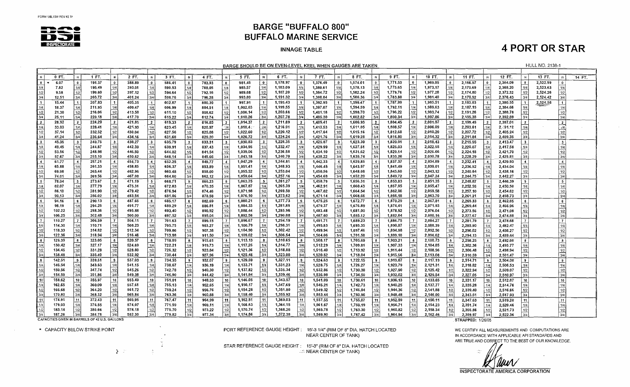

### **INNAGE TABLE**

## **4 PORT OR STAR**

**HULL NO. 2138-1** 

BARGE SHOULD BE ON EVEN-LEVEL KEEL WHEN GAUGES ARE TAKEN

|                                                                                                                                                                                                                                                                    | 0 FT.                                          | <b>IN</b>      | 1 FT.  | W                       | 2 FT.  | l IN.          | 3 FT.  | - W                     | 4 FT.            | H               | 5 FT.    | $\mathbb{N}$            | 6 FT.    | - IN           | 7 FT.    | N                       | 8 FT.    | $\blacksquare$          | 9 FT.    | - IN                    | 10 FT.   | <b>IN</b>               | 11 FT.                   |                | 12 FT.   |                      | 13 FT.   | <b>IN</b>       | 14 FT. |
|--------------------------------------------------------------------------------------------------------------------------------------------------------------------------------------------------------------------------------------------------------------------|------------------------------------------------|----------------|--------|-------------------------|--------|----------------|--------|-------------------------|------------------|-----------------|----------|-------------------------|----------|----------------|----------|-------------------------|----------|-------------------------|----------|-------------------------|----------|-------------------------|--------------------------|----------------|----------|----------------------|----------|-----------------|--------|
| 0                                                                                                                                                                                                                                                                  | 6.07                                           | $\bullet$      | 191.37 | $\bullet$               | 388.89 | 0 I            | 586.41 | Ιo                      | 783.93           | $\mathbf{r}$    | 981.45   | $\bullet$               | 1.178.97 | $\bullet$      | 1,376.49 | ΙOΙ                     | 1.574.01 | $\mathbf{0}$            | 1.771.53 | $\bullet$               | 1,969.05 |                         | 2,166.57                 | $\bullet$      | 2,364.09 |                      | 2.522.99 | $\mathbf{0}$    |        |
| 114                                                                                                                                                                                                                                                                | 7.82                                           | 1/4            | 195.49 | 1/4                     | 393.01 | 1/4            | 590.53 | 1/4                     | 788.05           | 1/4             | 985.57   | 1/4                     | 1,183.09 | 1/4            | 1,380.61 | i 1/4 i                 | 1,578.13 | 1/4                     | 1,775.65 | 1/4                     | 1,973,17 | 1/4                     | 2,170.69                 | 1/4            | 2.368,20 | 1/4                  | 2,523.63 | 1/4             |        |
| $\overline{1/2}$                                                                                                                                                                                                                                                   | 9.58                                           | $1/2$          | 199.60 | 1/2                     | 397.12 | 1/2            | 594.64 | } 1/2                   | 792.16           | 1/2             | 989.68   | 1/2                     | 1,187.20 | 1/2            | 1.384.72 | 1/2                     | 1,582.24 | 1/2                     | 1,779,76 | 1/2                     | 1,977,28 | 1/2                     | 2,174,80                 | 1/2            | 2.372.32 | 1/2                  | 2,524.26 |                 |        |
| $\frac{3/4}{1/4}$                                                                                                                                                                                                                                                  | 12.51                                          | 3/4            | 203.72 | 3/4                     | 401.24 | 3/4            | 598.76 | 3/4                     | 796,28           | 3/4             | 993.80   | 3/4                     | 1,191.32 | 3/4            | 1.388.84 | 3/4                     | 1.586,36 | 3/4                     | 1,783,88 | 3/4                     | 1,981.40 | 3/4                     | 2,178.92                 | 3/4            | 2.376.43 | 3/4                  | 2,524.42 | 3/4             |        |
|                                                                                                                                                                                                                                                                    | 15.44                                          | ١ı             | 207.83 | $\blacktriangleleft$    | 405.35 | $\vert$ 1      | 602,87 | $\vert$ 1               | 800.39           | $\vert$ 1       | 997.91   | $\blacksquare$          | 1,195.43 | $\mathbf{1}$   | 1,392.95 | $\mathbf{1}$            | 1,590.47 | $\overline{1}$          | 1,787.99 | $\Delta$                | 1,985.51 |                         | 2,183.03                 | $\overline{1}$ | 2,380.55 | $\ddot{\phantom{1}}$ | 2,524.58 | $\overline{1}$  |        |
|                                                                                                                                                                                                                                                                    | 18.37                                          | 1/4            | 211.95 | 1/4                     | 409.47 | 1/4            | 606,99 | 1/4                     | 804.51           | 1/4             | 1.002.03 | 1/4                     | 1,199.55 | 1/4            | 1,397.07 | 1/4                     | 1,594.59 | 1/4                     | 1792.11  | 1/4                     | 1,989.63 |                         | 2,187.15                 | 1/4            | 2,384.66 | 1/4                  |          | 1/4             |        |
|                                                                                                                                                                                                                                                                    | 21.30                                          | 1/2            | 216.06 | 1/2                     | 413.58 | 1/2            | 611.10 | 1/2                     | 808,62           | 1/2             | 1,006.14 | 1/2                     | 1,203.66 | 1/2            | 1,401.18 | 1/2                     | 1,598.70 | 1/2                     | 1,796.22 | 1/2                     | 1,993.74 |                         | 2,191.26                 | 1/2            | 2,388.78 | 1/2                  |          | 1/2             |        |
| $\frac{1/2}{3/4}$<br>$\frac{2}{1/4}$                                                                                                                                                                                                                               | 25.11                                          | 3/4            | 220.18 | 3/4                     | 417.70 | 3/4            | 615.22 | 3/4                     | 812.74           | 3/4             | 1.010.26 | 3/4                     | 1,207.78 | 3/4            | 1,405.30 | 3/4                     | 1,602.82 | 3/4                     | 1,800.34 | 3/4                     | 1.997.86 | 3/4                     | 2,195.38                 | 3/4            | 2,392.89 | 3/4                  |          | 3/4             |        |
|                                                                                                                                                                                                                                                                    | 28,92                                          | $\overline{z}$ | 224.29 | $\overline{2}$          | 421.81 | $\overline{2}$ | 619,33 | $\overline{z}$          | 816.85           | $\overline{2}$  | 1,014.37 | $\overline{z}$          | 1,211.89 | $\overline{2}$ | 1,409.41 | $\overline{2}$          | 1,606.93 | $\overline{2}$          | 1.804.45 | $\overline{2}$          | 2,001.97 | $\overline{2}$          | 2,199.49                 | $\overline{2}$ | 2,397.01 | $\overline{2}$       |          | 2               |        |
|                                                                                                                                                                                                                                                                    | 33.03                                          | $1/\delta$ .   | 228.41 | 1/4                     | 425.93 | 1/4            | 623.45 | 11/4                    | 820.97           | -14             | 1,018.4: | 1/4                     | 1,216.01 | 1/4            | 1,413,53 | 1/4                     | 1.611.05 | 1/4                     | 1.808.57 | 1/4                     | 2.006.09 | 1/4                     | 2,203.61                 | 1/4            | 2, 01.12 | 1/4                  |          | i 1/4 i         |        |
|                                                                                                                                                                                                                                                                    | 37.14                                          | 1/2            | 232.52 | 1/2                     | 430.04 | 1/2            | 627.56 | $\lceil$ 1/2            | 825.08           | 1/2             | 1,022.60 | 1/2                     | 1,220.12 | 1/2            | 1,417.64 | 1/2                     | 1,615.16 | 1/2                     | 1812.68  | 1/2                     | 2,010.20 | 1/2                     | 2,207.72                 | 1/2            | 2,405.24 | 1/2                  |          | 1/2             |        |
|                                                                                                                                                                                                                                                                    | 41.24                                          | 3/4            | 236.64 | 3/4                     | 434.16 | 3/4            | 631.68 | 3/4                     | 829.20           | 3/41            | 1,026.72 | 3/4                     | 1,224.24 | 3/4            | 1,421.76 | 3/4                     | 1.619,28 | 3/4                     | 1,816.80 | 3/4                     | 2,014.32 | 3/4                     | 2,211.84                 | 3/4            | 2.409.35 | 3/4                  |          | 3/4             |        |
|                                                                                                                                                                                                                                                                    | 45.35                                          | 3              | 240.75 | $\overline{\mathbf{3}}$ | 438.27 | <b>3</b>       | 635.79 | 3                       | 833,31           | l 3 l           | 1,030.83 | $\overline{\mathbf{3}}$ | 1,228.35 | $\mathbf{3}$   | 1,425.87 | $\overline{\mathbf{3}}$ | 1,623.39 | $\overline{\mathbf{3}}$ | 1,820.91 | $\mathbf{3}$            | 2,018,43 | $\overline{\mathbf{3}}$ | 2,215.95                 | $\mathbf{3}$   | 2,413.47 | 3 <sup>1</sup>       |          | 3'              |        |
|                                                                                                                                                                                                                                                                    | 49.45                                          | 1/4            | 244.87 | 1/4                     | 442,39 | 1/4            | 639.91 | 11/4                    | 837.43           | 1/4             | 1,034.95 | 1 1/4 1                 | 1,232.47 | 1/4            | 1,429.99 | 1/4                     | 1,627.51 | 1/4                     | 1,825,03 | 1/4                     | 2,022.55 | 1/4                     | 2,220.07                 | 1/4            | 2,417.58 | 1/4                  |          | 1/4             |        |
|                                                                                                                                                                                                                                                                    | 53.56                                          | 1/2            | 248.98 | 1/2                     | 446.50 | 1/2            | 644.02 | 1/2                     | 841.54           | 1/2             | 1,039.06 | 1/2                     | 1,236.58 | 1/2            | 1,434.10 | 1/2                     | 1,631.62 | 1/2                     | 1.829.14 | 1/2                     | 2.026.66 | 1/2                     | 2,224.18                 | 1/2            | 2,421.70 | 11/2                 |          | l 1/2 l         |        |
|                                                                                                                                                                                                                                                                    | 57.67                                          | 3/4            | 253.10 | 3/4                     | 450.62 | 3/4            | 648.14 | 3/4                     | 845.66           | 3/4             | 1,043.18 | 3/4                     | 1,240.70 | 3/4            | 1,438.22 | 3/4                     | 1,635.74 | 3/4                     | 1,833.26 | 3/4                     | 2,030.78 | 3/4                     | 2,228.29                 | 3/4            | 2,425.81 | 3/4                  |          | 3/4             |        |
|                                                                                                                                                                                                                                                                    | 61.77                                          | $\overline{4}$ | 257.21 | $\overline{4}$          | 454.73 | $\overline{4}$ | 652.25 | $\overline{4}$          | 849.77           | $-4$            | 1,047.29 | $\blacktriangle$        | 1,244.81 | $\overline{4}$ | 1,442.33 | $\vert$ 4               | 1,639,85 | $\overline{4}$          | 1,837.37 | $\overline{4}$          | 2.034.89 | $\overline{4}$          | 2,232.41                 |                | 2,429.93 | $\sim$               |          | $\vert$ 4       |        |
|                                                                                                                                                                                                                                                                    | 65,88                                          | 1/4            | 261.33 | 1/4                     | 458.85 | 1/4            | 656,37 | 1/4                     | 853.89           | 1/4             | 1.051.41 | 1/4                     | 1,248.93 | 1/4            | 1.446.45 | 1/4                     | 1,643.97 | 1/4                     | 1,841.49 | 1/4                     | 2,039.01 | 1/4                     | 2,236,52                 | 1/4            | 2.434.04 | 1/4                  |          | 1/4             |        |
|                                                                                                                                                                                                                                                                    | 69.98                                          | 1/2            | 265.44 | 1/2                     | 462.96 | 1/2            | 660.48 | 1/2                     | 858.00           | 1/2             | 1.055.52 | 1/2                     | 1,253,04 | 1/2            | 1,450,56 | 1/2                     | 1.648.08 | 1/2                     | 1.845,60 | 1/2                     | 2,043.12 | 1/2                     | 2,240.64                 | 1/2            | 2,438.16 | 1/2                  |          | $\mid$ 1/2      |        |
|                                                                                                                                                                                                                                                                    | 74.01                                          | 3/4            | 269.56 | 3/4                     | 467.08 | 3/4            | 664,60 | 3/4                     | 862.12           | 3/4             | 1,059.64 | 3/4                     | 1,257.16 | 3/4            | 1,454.68 | 3/4                     | 1,652,20 | 3/4                     | 1,849.72 | 3/4                     | 2,047.24 | 3/4                     | 2,244.75                 | 3/4            | 2,442.27 | 3/4                  |          | İ 3/4           |        |
|                                                                                                                                                                                                                                                                    | 78.04                                          | $-5$           | 273.67 | $5-$                    | 471.19 | -5             | 668.71 | 5 <sub>5</sub>          | 866.23           | 5               | 1,063.75 | 5 <sub>5</sub>          | 1,261.27 | $5^{\circ}$    | 1,458.79 | 5 <sub>1</sub>          | 1,656,31 | 5 <sup>1</sup>          | 1,853,83 | 5 <sub>1</sub>          | 2,051.35 | 5                       | 2,248.87                 | 5              | 2,446.39 | 5 <sup>1</sup>       |          | 5               |        |
|                                                                                                                                                                                                                                                                    | 82.07                                          | 1/4            | 277.79 | 1/4                     | 475.31 | 1/4            | 672.83 | 1/4                     | 870.35           | 1/4             | 1.067.87 | 1/4                     | 1,265.39 | 1/4            | 1,462.91 | 1/4                     | 1,660.43 | 1/4                     | 1,857.95 | 1/4                     | 2,055,47 | 1/4                     | 2,252.98                 | 1/4            | 2,450,50 | 1/4                  |          | 1/4             |        |
|                                                                                                                                                                                                                                                                    | 86.10                                          | 1/2            | 281.90 | 1/2                     | 479.42 | 112            | 676,94 | 1/2                     | 874.46           | l 1/2 l         | 1.071.98 | 1/2                     | 1,269.50 | 1/2            | 1,467.02 | 1/2                     | 1,664.54 | 1/2                     | 1,862,06 | 1/2                     | 2,059,58 | 1/2                     | 2,257.10                 | 1/2            | 2,454.62 | 112                  |          | 1/2             |        |
|                                                                                                                                                                                                                                                                    | 90.13                                          | 3/4            | 286,02 | 3/4                     | 483.54 | 3/4            | 681.06 | 3/4                     | 878.58           | 3/4             | 1,076.10 | 3/4                     | 1,273.62 | 3/4            | 1,471.14 | 3/4                     | 1,668.66 | 3/4                     | 1,866.18 | 3/4                     | 2.063.70 | 3/4                     | 2,261.21                 | 3/4            | 2,458.73 | ا 3/4                |          | 3/4             |        |
| $\begin{array}{r rrrr}\n\hline\n1/2 & 3/4 & 3 \\ \hline\n1/4 & 1/2 & 3/4 \\ \hline\n1/4 & 1/2 & 3/4 \\ \hline\n1/4 & 1/2 & 3/4 \\ \hline\n1/4 & 1/2 & 3/4 \\ \hline\n1/4 & 1/2 & 3/4 \\ \hline\n1/4 & 1/2 & 3/4 \\ \hline\n1/4 & 1/2 & 3/4 \\ \hline\n\end{array}$ | 94.16                                          | 6∶             | 290.13 | 6 <sup>1</sup>          | 487.65 | <b>6</b>       | 685,17 | 6 <sup>1</sup>          | 882.69           | l s             | 1.080.21 | ∣6.                     | 1.277.73 | -61            | 1,475.25 | -6                      | 1.672.77 | - 6 i                   | 1,870,29 | 6 <sup>1</sup>          | 2.067.81 | 6                       | 2,265.33                 | -6             | 2,462.85 | 6                    |          | <b>6</b>        |        |
|                                                                                                                                                                                                                                                                    | 98.19                                          | 1/4            | 294.25 | 1/4                     | 491.77 | 1/4            | 689.29 | 1/4                     | 886.81           | i 1/4 i         | 1.084.33 | 1/4                     | 1,281,85 | 1/4            | 1,479.37 | 1/4                     | 1,676.89 | 1/4                     | 1,874.41 | 1/4                     | 2,071.93 | 1/4                     | 2,269.44                 | 1/4            | 2,466.96 | 1/4                  |          | 1 1/4 I         |        |
|                                                                                                                                                                                                                                                                    | 102.22                                         | 1/2            | 298.36 | 1/2                     | 495.88 | 1/2            | 693.40 | 1/2                     | 890.92           | 1/2             | 1.088.44 | 1/2                     | 1,285,96 | 1/2            | 1,483.48 | 1/2                     | 1.681.00 | 1/2                     | 1.878.52 | 1/2                     | 2.076.04 | 1/2                     | 2,273.56                 | 1/2            | 2,471.08 | 1/2                  |          | 11/2            |        |
|                                                                                                                                                                                                                                                                    | 106.25                                         | 3/4            | 302.48 | 3/4                     | 500.00 | 3/4            | 697.52 | 3/4                     | 895.04           | 3/4             | 1,092.56 | 3/4                     | 1,290.08 | 3/4            | 1,487,60 | 3/4                     | 1,685.12 | 3/4                     | 1,882.64 | 3/4                     | 2,080.16 | 3/4                     | 2,277.67                 | 3/4            | 2,474.88 | i 3/4 l              |          | 3/4             |        |
|                                                                                                                                                                                                                                                                    | 110,27                                         | 7              | 306,59 |                         | 504.11 | $\overline{z}$ | 701.63 | $\overline{7}$          | 899.15           | $\mathbf{7}$    | 1.096.67 | 7                       | 1,294.19 | $\overline{7}$ | 1.491.71 | $\overline{7}$          | 1.689.23 | $\overline{7}$          | 1.886.75 | 7 <sup>7</sup>          | 2.084.27 | $\mathbf{7}$            | 2,281.79                 | - 7 i          | 2,478.68 | $\overline{7}$       |          | $\overline{7}$  |        |
|                                                                                                                                                                                                                                                                    | 114.30                                         | 1/4            | 310.71 | 1/4                     | 508.23 | 1/4            | 705.75 | 1/4                     | 903.27           | 1/4             | 1.100.79 | 1/4                     | 1,298.31 | 1/4            | 1,495.83 | 1/4                     | 1,693.35 | 1/4                     | 1,890,87 | 1/4                     | 2,088.39 | 1/4                     | 2,285.90                 | 1/4            | 2,482.47 | 1/4                  |          | i 1/4           |        |
|                                                                                                                                                                                                                                                                    | 118,33                                         | 1/2            | 314.82 | 1/2                     | 512.34 | 1/2            | 709.86 | 1/2                     | 907,38           | 1/2             | 1,104.90 | 1/2                     | 1,302.42 | 1/2            | 1,499.94 | 1/2                     | 1.697.46 | 1/2                     | 1,894.98 | 1/2                     | 2,092,50 | 1/2                     | 2,290,02                 | 1/2            | 2,486.27 | 1/2                  |          | 1/2             |        |
|                                                                                                                                                                                                                                                                    | 122.36                                         | 3/4            | 318.94 | 3/4                     | 516.46 | 13/4           | 713.98 | 3/4                     | 911.50           | 3/4             | 1,109.02 | 3/4                     | 1,306.54 | 3/4            | 1,504.06 | 3/4                     | 1.701.58 | 3/4                     | 1,899.10 | 3/4                     | 2,096.62 | 3/4                     | 2,294.13                 | 3/4            | 2,489.44 | 3/4                  |          | 3/4             |        |
| $\begin{array}{r} 1/2 \\ \hline 3/4 \\ \hline 8 \\ 1/4 \\ \hline 1/2 \end{array}$                                                                                                                                                                                  | 126.39                                         | $\mathbf{B}$   | 323.05 | $\overline{\mathbf{3}}$ | 520.57 | 8              | 718.09 | $\overline{\mathbf{8}}$ | 915.61           | -8              | 1,113.13 | $\mathbf{a}$            | 1,310.65 | $\mathbf{B}$   | 1,508.17 | $\mathbf{B}$            | 1,705,69 | $\mathbf{B}$            | 1,903,21 | $\overline{\mathbf{3}}$ | 2,100.73 | $\mathbf{a}$            | 2.298.25                 | $\mathbf{8}$   | 2,492.60 | 8 <sup>1</sup>       |          | İΒ              |        |
|                                                                                                                                                                                                                                                                    | 130.42                                         | 1/4            | 327.17 | 1/4                     | 524.69 | 114            | 722.21 | 1/4                     | 919.73           | 1/4             | 1,117.25 | 1/4                     | 1,314.77 | 1/4            | 1,512.29 | 1/4                     | 1,709.81 | l 1/4 l                 | 1,907.33 | 1/4                     | 2.104.85 | 1/4                     | 2,302.36                 | l 1/4 i        | 2,495.77 | 1/4                  |          | 1/4             |        |
|                                                                                                                                                                                                                                                                    | 134.45                                         | 1/2            | 331.28 | 1/2                     | 528.80 | 1/2            | 726,32 | 1/2                     | 923.84           | 1/2             | 1,121.36 | 1/2                     | 1,318,88 | 1/2            | 1,516.40 | 1/2                     | 1,713.92 | 1/2                     | 1,911.44 | 1/2                     | 2,108.96 | 1/2                     | 2,306.48                 | 1/2            | 2,498.94 | 1/2                  |          | 1/2             |        |
|                                                                                                                                                                                                                                                                    | 138.48                                         | 3/4            | 335,40 | 3/4                     | 532.92 | 3/4            | 730,44 | 3/4                     | 927.96           | 3/4             | 1.125.48 | 3/4                     | 1,323.00 | 3/4            | 1.520.52 | 3/4                     | 1.718.04 | 3/4                     | 1,915,56 | 3/4                     | 2,113.08 | 3/4                     | 2.310.59                 | 3/4            | 2,501.47 | 3/4                  |          | ا 3/4           |        |
| $\begin{array}{ c c }\n\hline\n3/4 & 9 \\ \hline\n1/4 & 1/2 \\ \hline\n\end{array}$                                                                                                                                                                                | 142.51                                         | -9             | 339.51 | $\bullet$               | 537,03 | ∣9.            | 734.55 | -91                     | 932.07           | -9              | 1,129.59 | 9                       | 1,327.11 | 9              | 1,524.63 | -9                      | 1.722.15 | 9                       | 1,919.67 | 9                       | 2,117.19 | $\cdot$                 | 2.314.71                 | <u>و ا</u>     | 2,504.00 | -9                   |          | 9               |        |
|                                                                                                                                                                                                                                                                    | 146.54                                         | 1/4            | 343.63 | 1/4                     | 541.15 | 1/4            | 738.67 | 1/4                     | 936.19           | 1/4             | 1,133.71 | 1/4                     | 1.331.23 | 1/4            | 1,528.75 | 1/4                     | 1,726,27 | 1/4                     | 1,923,79 | 1/4                     | 2,121.31 | 1/4                     | 2,318.82                 | 1/4            | 2,506.53 | 1/4                  |          | i 1/4.          |        |
|                                                                                                                                                                                                                                                                    | 150.56                                         | 1/2            | 347.74 | 1/2                     | 545.26 | 1/2            | 742.78 | 1/2                     | 940.30           | 1/2             | 1,137.82 | 1/2                     | 1,335.34 | 1/2            | 1,532.86 | 1/2                     | 1,730.38 | 1/2                     | 1,927.90 | 1/2                     | 2,125.42 | 1/2                     | 2,322.94                 | 1/2            | 2,509.07 | 1/2                  |          | 1/2             |        |
|                                                                                                                                                                                                                                                                    | 154.59                                         | 3/4            | 351.86 | 3/4                     | 549.38 | 3/4            | 746.90 | 3/4                     | 944.42           | 3/4             | 1,141.94 | 3/4                     | 1.339.46 | 3/4            | 1,536.98 | 3/4                     | 1,734.50 | 3/4                     | 1.932.02 | 3/4                     | 2,129.54 | 3/4                     | 2.327.05                 | 3/4            | 2.510.97 | 3/4                  |          | 3/4             |        |
| $\frac{3/4}{10}$                                                                                                                                                                                                                                                   | 158.62                                         | 10             | 355.97 | 10 <sup>1</sup>         | 553.49 | 10             | 751.01 |                         | 948,53           | 10 <sub>1</sub> | 1,146.05 | 10 <sup>1</sup>         | 1,343.57 | 10             | 1,541.09 | 10                      | 1,738.61 | -10                     | 1,936.13 | 10                      | 2,133.65 | 10                      | 2,331.17                 | i 10.          | 2,512.87 | 10                   |          | 10              |        |
|                                                                                                                                                                                                                                                                    | 162.65                                         | 1/4            | 360.09 | 1/4                     | 557.61 | 1/4            | 755.13 | 10<br>  1/4             | 952.65           | 1/4             | 1,150.17 | 1/4                     | 1,347.69 | 1/4            | 1,545,21 | 1/4                     | 1.742.73 | 1/4                     | 1.940.25 | 1/4                     | 2,137.77 | 1/4                     | 2,335.28                 | 1/4            | 2.514.76 | 1/4                  |          | 1/4             |        |
| $\frac{1/4}{1/2}$                                                                                                                                                                                                                                                  | 166.68                                         | 1/2            | 364.20 | 1/2                     | 561.72 | 1/2            | 759.24 |                         | 956.76           | 1/2             | 1,154.28 | 1/2                     | 1,351.80 | 1/2            | 1,549.32 | 1/2                     | 1,746.84 | 1/2                     | 1.944.36 | 1/2                     | 2,141.88 | 1/2                     |                          | 1/2            | 2,516.66 | 1/2                  |          | 11/2            |        |
| $\frac{1}{3/4}$                                                                                                                                                                                                                                                    | 170.80                                         | 3/4            | 368.32 | 3/4                     | 565.84 | 3/4            | 763.36 | 1/2<br>3/4              | 960.88           | 3/4             | 1,158.40 | 3/4                     | 1,355.92 | 3/4            | 1,553.44 | 3/4                     | 1.750.96 | 3/4                     | 1,948,48 | 3/4                     | 2,146.00 | 3/4                     | 2,339.40<br>2,343,51     | ا 3/4          | 2,517.93 | ا 3/4                |          | 3/4             |        |
|                                                                                                                                                                                                                                                                    | 174.91                                         | 11             | 372.43 | 11                      | 569,95 | 11             | 767.47 |                         | 964.99           | 11              | 1,162.51 | 11                      | 1,360.03 | 11             | 1,557.55 | 11                      | 1,755.07 |                         | 1,952.59 | 11                      | 2,150.11 | 11                      |                          |                |          | 11 <sup>1</sup>      |          | 11 <sub>1</sub> |        |
| $\boxed{11}$<br>1/4                                                                                                                                                                                                                                                | 179.03                                         | 1/4            | 376.55 | 1/4                     | 574.07 | 1/4            | 771.59 | 11  <br>1/4             |                  | 1/4             | 1,166.63 | 1/4                     | 1.364.15 | 1/4            | 1,561.67 | 1/4                     | 1.759.19 | 11<br>1/4               | 1.956.71 | 1/4                     | 2.154.23 | 1/4                     | 2,347.63                 | -11  <br> 1/4  | 2,519.20 | 1/4                  |          |                 |        |
| $\overline{1/2}$                                                                                                                                                                                                                                                   | 183.14                                         | 1/2            | 380.66 | 1/2                     | 578.18 | 1/2            | 775.70 | 1/2                     | 969.11<br>973.22 | 1/2             | 1,170.74 | 1/2                     | 1,368.26 | 1/2            | 1,565.78 | 1/2                     | 1.763.30 | 1/2                     | 1,960.82 | 1/2                     | 2,158.34 | 1/2                     | 2,351.74                 | 1/2            | 2.520.46 | 1/2                  |          | l 1/4°<br>1/2   |        |
| 3/4                                                                                                                                                                                                                                                                | 187.26                                         | 3/4            | 384.78 | 3/4                     | 582.30 | 3/4            | 779.82 | 3/4                     | 977.34           | 3/4             | 1,174.86 | 3/4                     | 1,372.38 | 3/4            | 1,569.90 | 3/4                     | 1.767.42 | 3/4                     | 1,964.94 | 3/4                     | 2,162.46 | 3/4                     | 2,355,86                 | ا 3/4          | 2,521.73 | 3/4                  |          | 3/4             |        |
|                                                                                                                                                                                                                                                                    | CAPACITIES GIVEN IN BARRELS OF 42 U.S. GALLONS |                |        |                         |        |                |        |                         |                  |                 |          |                         |          |                |          |                         |          |                         |          |                         |          |                         | 2,359.97                 |                | 2.522.36 |                      |          |                 |        |
|                                                                                                                                                                                                                                                                    |                                                |                |        |                         |        |                |        |                         |                  |                 |          |                         |          |                |          |                         |          |                         |          |                         |          |                         | <b>STRAPPED: 1/26/05</b> |                |          |                      |          |                 |        |

\* CAPACITY BELOW STRIKE POINT

PORT REFERENCE GAUGE HEIGHT: 15'-3 1/4" (RIM OF 8" DIA. HATCH LOCATED NEAR CENTER OF TANK)

WE CERTIFY ALL MEASUREMENTS AND COMPUTATIONS ARE IN ACCORDANCE WITH APPLICABLE API STANDARDS AND ARE TRUE AND CORRECT TO THE BEST OF OUR KNOWLEDGE.

 $\mathbb{R}^{\times \times 2}$ 

STAR REFERENCE GAUGE HEIGHT: 15'-3" (RIM OF 8" DIA, HATCH LOCATED **EXIMEAR CENTER OF TANK)**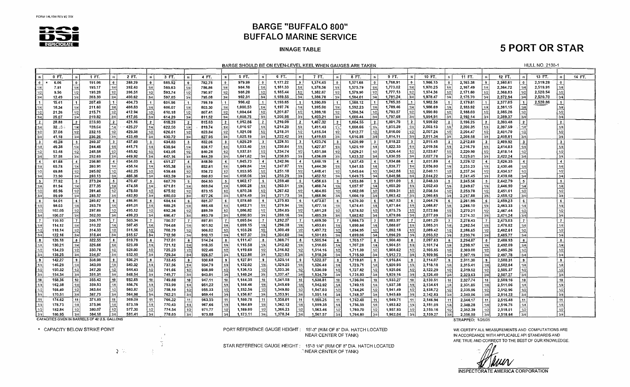

#### **INNAGE TABLE**

## **5 PORT OR STAR**

**HULL NO. 2138-1** 

BARGE SHOULD BE ON EVEN-LEVEL KEEL WHEN GAUGES ARE TAKEN

| <b>IN</b>                | 0 FT.          |                         | 1 FT.  |                         | 2 FT.            | IN             | 3 FT.            | IN                      | 4 FT.            | <b>IN</b>            | 5 FT.    | <b>IN</b>               | 6 FT.    | <b>IN</b>               | 7 FT.                | <b>IN</b>                          | 8 FT.                | <b>IN</b>              | 9 FT.    |                | 10 FT.               |              | 11 FT.   | R4                      | 12 FT.               |                         | 13 FT.   | <b>IN</b>               | 14 FT. |
|--------------------------|----------------|-------------------------|--------|-------------------------|------------------|----------------|------------------|-------------------------|------------------|----------------------|----------|-------------------------|----------|-------------------------|----------------------|------------------------------------|----------------------|------------------------|----------|----------------|----------------------|--------------|----------|-------------------------|----------------------|-------------------------|----------|-------------------------|--------|
| $\overline{\phantom{a}}$ | 6.06           | $\mathbf{0}$            | 191.06 | $\bullet$               | 388,29           | $\bullet$      | 585.52           | $\bullet$               | 782.75           | $\bullet$            | 979.99   | $\overline{\mathbf{0}}$ | 1.177.22 | $\mathbf{0}$            | 1,374.45             | <b>0</b>                           | 1,571.68             | $\bullet$              | 1.768.91 | $\mathbf{0}$   | 1.966.15             | $\mathbf{0}$ | 2,163.38 | $\bullet$               | 2.360,61             | $\mathbf{0}$            | 2,519.28 | $\mathbf{0}$            |        |
| 1/4                      | 7.81           | 1/4                     | 195.17 | 1/4                     | 392.40           | 1/4            | 589.63           | 1/4                     | 786,86           | 1/4                  | 984.10   | 1/4                     | 1,181.33 | 1/4                     | 1,378,56             | 1/4                                | 1,575.79             | 1/4.                   | 1,773.02 | 1/4            | 1,970.25             | 1/4          | 2,167.49 | 1/4                     | 2,364.72             | 1/4                     | 2,519.91 | 1/4                     |        |
| 1/2                      | 9,56           | 1/2                     | 199.28 | $1/2$                   | 396,51           | 1/2            | 593.74           | 1/2                     | 790.97           | 1/2                  | 988.20   | 1/2                     | 1.185.44 | 1/2                     | 1,382.67             | 1/2                                | 1,579,90             | 1/2                    | 1,777.13 | 1/2            | 1.974.36             | 1/2          | 2,171.60 | 1/2                     | 2,368.83             | 1/2                     | 2,520.54 | 1/2                     |        |
| 3/4                      | 12.49          | 3/4                     | 203.39 | 3/4                     | 400.62           | 3/4            | 597.85           | 3/4                     | 795.08           | 3/4                  | 992,31   | 3/4                     | 1.189.55 | 3/4                     | 1,386.78             | 3/4                                | 1,584.01             | 3/4                    | 1.781.24 | 3/4            | 1,978.47             | 3/4          | 2,175.70 | 3/4                     | 2,372.94             | 3/4                     | 2,520.70 | 3/4                     |        |
| $\mathbf{1}$             | 15.41          | $\overline{\mathbf{1}}$ | 207.49 | $\mathbf{1}$            | 404.73           | $\mathbf{1}$   | 601.96           | $\blacksquare$          | 799.19           | $\ddot{\phantom{1}}$ | 996.42   | $\overline{1}$          | 1,193.65 | $\overline{1}$          | 1,390,89             | 1 <sup>1</sup>                     | 1.588.12             | $\left  \cdot \right $ | 1,785.35 | $\rightarrow$  | 1,982.58             | $\mathbf{1}$ | 2,179.81 | $\mathbf{1}$            | 2,377.05             | - 1 1                   | 2,520.86 | $\blacktriangleleft$    |        |
| 1/4                      | 18.34          | 1/4                     | 211.60 | 1/4                     | 408.83           | 1/4            | 606.07           | 1/4                     | 803.30           | 1/4                  | 1,000,53 | 1/4                     | 1,197.76 |                         | 1,395.00             | 1/4                                | 1,592.23             | 1/4                    | 1,789.46 | 1/4            | 1,986.69             | 1/4          | 2,183.92 | 1/4                     | 2,381.15             | 1/4                     |          | 1/4                     |        |
| 1/2                      | 21.26          | 1/2                     | 215.71 | 1/2                     | 412.94           | 1/2            | 610,18           | 1/2                     | 807.41           | 1/2                  | 1,004.64 | 1/2                     | 1,201.87 | 1/2                     | 1,399.10             | 1/2                                | 1,596.34             | 1/2                    | 1,793.57 | 1/2            | 1,990.80             | 1/2          | 2,188.03 | 1/2                     | 2,385.26             | 1/2                     |          | 1/2                     |        |
| 3/4                      | 25,07          | 3/4                     | 219.82 | 3/4                     | 417.05           | 3/4            | 614.29           | 3/4                     | 811.52           | 3/4                  | 1,008.75 | 3/4                     | 1,205.98 | 3/4                     | 1,403.21             | 3/4                                | 1.600.44             | 3/4                    | 1,797,68 | 3/4            | 1,994.91             | 3/4          | 2,192.14 | 3/4                     | 2,389.37             | 3/4                     |          | 3/4                     |        |
| $\frac{1}{2}$            | 28.88          | $\overline{2}$          | 223,93 | $\overline{2}$          | 421.16           | $\overline{2}$ | 618.39           | $\frac{1}{2}$           | 815.63           |                      | 1.012.86 | $\overline{2}$          | 1,210.09 | $\mathbf{z}$            | 1,407.32             | $\overline{2}$                     | 1.604.55             | $\overline{2}$         | 1,801.79 | $\overline{2}$ | 1999.02              |              | 2.196.25 | $\overline{2}$          | 2.393.48             | $\overline{2}$          |          | $\overline{2}$          |        |
| 1/4                      | 32.23          | 1/4                     | 228.04 | 4/4                     | 425.27           | 1/4            | 622.50           | 1/4                     | 819.74           | 1/4                  | 1,016.97 | 1/4                     | 1,214.20 | 1/4                     | 1,411,43             | $\mathbb{C}^{\times}_{\mathbb{Z}}$ | 1,608.66             | 1/4                    | 1,895.89 | 1/4            | 2,003.13             | 1/4          | 2,200,35 | 1/4                     | 2,397,59             | 1/4                     |          | 1/4                     |        |
| $\frac{1}{2}$            | 37.08          | 1/2                     | 232.15 | 1/2                     | 429.38           | 1/2            | 626.61           | 1/2                     | 823.84           | 1/2                  | 1.021.08 | 1/2                     | 1,218,31 | 1/2                     | 1,415.54             | $1/2$                              | 1.612.77             | 1/2                    | 1,810.00 | 1/2            | 2,007.24             | 1/2          | 2,204.47 | 1/2                     | 2,401.70             | 1/2                     |          | 1/2                     |        |
| 3/4                      | 41.18          | 3/4                     | 236,26 | 3/4                     | 433.49           | 3/4            | 630.72           | 3/4                     | 827.95           | 3/4                  | 1,025.19 | 3/4                     | 1,222.42 | 3/4                     | 1,419.65             | 3/4                                | 1.616.88             | 3/4                    | 1,814.11 | 3/4            | 2,011.34             | 3/4          | 2,208.58 | 3/4                     | 2,405.81             | 3/4                     |          | 3/4                     |        |
| $\sqrt{3}$               | 45.28          | $\overline{\mathbf{3}}$ | 240.37 | $\overline{\mathbf{3}}$ | 437.60           | 3              | 634,83           | $\overline{\mathbf{3}}$ | 832.06           |                      | 1,029.29 | $\overline{\mathbf{3}}$ | 1.226.53 | $\overline{\mathbf{3}}$ | 1,423.76             | $\overline{\mathbf{3}}$            | 1.620.99             | 3                      | 1,818,22 | $\mathbf{3}$   | 2,015.45             |              | 2,212.69 | $\overline{\mathbf{3}}$ | 2.409.92             | $\overline{\mathbf{3}}$ |          | $\mathbf{3}$            |        |
| 1/4                      | 49.38          | 1/4                     | 244.48 | 1/4                     | 441.71           | 1/4            | 638.94           |                         |                  |                      | 1,033.40 | 1/4                     | 1.230.64 | 1/4                     | 1,427.87             | 1/4                                | 1.625,10             | i 1/4 i                | 1,822.33 | 1/4            | 2.019.56             | 1/4          | 2,216.79 | 1/4                     | 2,414.03             | 1/4                     |          | 1/4                     |        |
| 1/2                      |                |                         | 248.58 | 1/2                     | 445.82           |                |                  | 1/4                     | 836,17           | 1/4                  | 1.037.51 | 1/2                     | 1,234,74 | 1/2                     | 1,431.98             | 1/2                                |                      | 1/2                    | 1,826.44 | 1/2            | 2.023.67             | 1/2          | 2,220.90 | 1/2                     |                      | 1/2                     |          | 1/2                     |        |
| 3/4                      | 53.48<br>57.58 | 1/2<br>3/4              | 252.69 | 3/4                     | 449.92           | 1/2<br>3/4     | 643,05<br>647.16 | 1/2<br>3/4              | 840.28<br>844.39 | 1/2<br>3/4           | 1.041.62 | 3/4                     | 1,238.85 | 3/4                     | 1,436.09             | 3/4                                | 1.629.21             | 3/4                    | 1.830.55 | 3/4            | 2,027.78             | 3/4          | 2,225.01 | 3/4                     | 2,418.14<br>2,422.24 | 3/4                     |          | 3/4                     |        |
| I 4                      |                |                         | 256.80 | $\overline{4}$          | 454.03           | $\overline{4}$ |                  |                         |                  | $\overline{4}$       | 1,045,73 | 4                       | 1.242.96 | $\overline{4}$          | 1.440.19             | $\overline{4}$                     | 1,633.32<br>1.637.43 | $\overline{4}$         | 1,834.66 | $\overline{4}$ | 2,031.89             |              |          | $\vert$ 4               |                      | $-4$                    |          | $\ddot{4}$              |        |
| 11/4                     | 61,68          | $\overline{4}$<br>1/4   |        | 1/4                     | 458.14           | 1/4            | 651.27           | $\overline{4}$          | 848.50           |                      |          | 1/4                     | 1.247.07 | 1/4                     |                      | 1/4                                |                      | 1/4                    | 1,838,77 | 114            |                      | 1/a          | 2,229,12 |                         | 2,426.35             |                         |          | 1/4                     |        |
|                          | 65.78          |                         | 260.91 | 1/2                     |                  |                | 655,38           | 1/4                     | 852.61           | 1/4                  | 1.049.84 | 1/2                     | 1.251.18 | 1/2                     | 1.444.30             |                                    | 1.641.53             |                        |          | 1/2            | 2,036,00<br>2.040.11 | 1/2          | 2,233.23 | 1/4                     | 2,430.46             | 1/4                     |          | 1/2                     |        |
| 1/2<br>3/4               | 69.88          | 1/2<br>3/4              | 265.02 | 3/4                     | 462.25<br>466.36 | 1/2<br>3/4     | 659.48           | 1/2                     | 856.72           | 1/2<br>3/4           | 1,053.95 | 3/4                     | 1,255,29 | 3/4                     | 1,448,41<br>1,452.52 | 1/2<br>3/4                         | 1.645.64             | 1/2<br>3/4             | 1,842.88 | 3/4            | 2.044.22             | 3/4          | 2.237.34 | 1/2 <br>3/4             | 2,434.57             | 1/2<br>3/4              |          | 3/4                     |        |
|                          | 73.90          |                         | 269.13 |                         |                  |                | 663.59           | 3/4                     | 860.83           |                      | 1,058.06 | 5                       |          |                         |                      |                                    | 1.649.75             |                        | 1,846.98 |                |                      |              | 2.241.45 |                         | 2,438.68             |                         |          |                         |        |
| $\sqrt{5}$               | 77.92          | $5\phantom{.0}$         | 273.24 | $\sim$<br>1/4           | 470.47           | 5              | 667.70           | 5                       | 864.93           | $-5$                 | 1.062.17 |                         | 1,259.40 | 5                       | 1,456,63             | 5 <sup>5</sup>                     | 1,653.86             | 5                      | 1,851.09 | -5             | 2,048.33             |              | 2,245.56 | 5 <sup>1</sup>          | 2,442,79             | 5                       |          | 5 <sub>5</sub>          |        |
| 1/4                      | 81.94          | 1/4                     | 277.35 |                         | 474.58           | 1/4            | 671.81           | 1/4                     | 869.04           | 1/4                  | 1,066.28 | 1/4                     | 1.263,51 | 1/4                     | 1,460.74             | 1/4                                | 1.657.97             | 1/4                    | 1,855.20 | 1/4            | 2,052,43             | 1/4          | 2,249.67 | 1/4                     | 2,446.90             | 1/4                     |          | 1/4                     |        |
| 1/2                      | 85.96          | 1/2                     | 281.46 | 1/2                     | 478.69           | 1/2            | 675.92           | 1/2                     | 873,15           | 1/2                  | 1,070.38 | 1/2                     | 1,267.62 | 1/2                     | 1.464.85             | $\overline{1/2}$                   | 1.662.08             | 1/2                    | 1,859.31 | 1/2            | 2,056.54             | 1/2          | 2,253.78 | 1/2                     | 2.451.01             | 1/2                     |          | 1/2                     |        |
| 3/4                      | 89.99          | 3/4                     | 285.57 | 3/4                     | 482.80           | 3/4            | 680.03           | 3/4                     | 877.26           | 3/4                  | 1,074.49 | 3/4                     | 1,271.73 | 3/4                     | 1,468.96             | 3/4                                | 1,666.19             | 3/4                    | 1,863.42 | 3/4            | 2,060,65             | 3/4          | 2,257.88 | 3/4                     | 2,455.12             | 3/4                     |          | 3/4                     |        |
| i 6                      | 94.01          | 6                       | 289.67 | 6 <sup>2</sup>          | 486.91           | 6              | 684.14           | 6                       | 881.37           | 6                    | 1.078.60 | 6                       | 1,275.83 | -61                     | 1,473.07             | 6                                  | 1,670.30             | 6                      | 1,867.53 |                | 2,064.76             | 6            | 2,261,99 | - 6                     | 2,459,23             | $-6$                    |          | 6                       |        |
| ▌1/4                     | 98.03          | 1/4                     | 293,78 | 1/4                     | 491.01           | 1/4            | 688.25           | 1/4                     | 885.48           | 1/4                  | 1,082.71 | 1/4                     | 1,279.94 | 1/4                     | 1,477.18             | 1/4                                | 1,674.41             | 1/4                    | 1,871.64 | 1/4            | 2,068.87             | 1/4          | 2,266.10 | 1/4                     | 2,463.33             | 1/4                     |          | 1/4                     |        |
| 1/2                      | 102.05         | 1/2                     | 297.89 | 1/2                     | 495.12           | 1/2            | 692,36           | $1/2$                   | 889,59           | 1/2                  | 1,086,82 | 1/2                     | 1,284.05 | 1/2                     | 1,481,28             | 1/2                                | 1.678.52             | 1/2                    | 1.875.75 | 1/2            | 2,072.98             | 1/2          | 2.270.21 | 1/2                     | 2.467.44             | 1/2                     |          | 1/2                     |        |
| 3/4                      | 106.07         | 3/4                     | 302.00 | 3/4                     | 499.23           | 3/4            | 696.47           | 3/4                     | 893.70           | 3/4                  | 1,090.93 | 3/4                     | 1,288.16 | 3/4                     | 1.485.39             | 3/4                                | 1.682.62             | 3/4                    | 1,879.86 | 3/4            | 2,077.09             | 3/4          | 2,274.32 | 3/4                     | 2,471.24             | 3/4                     |          | 3/4                     |        |
| I 7                      | 110.10         | $\overline{7}$          | 306.11 | $\overline{7}$          | 503.34           | $\overline{7}$ | 700,57           | $\mathbf{7}$            | 897.81           | $\overline{7}$       | 1.095.04 | $\overline{7}$          | 1,292.27 | $\mathbf{7}$            | 1.489.50             | $\overline{7}$                     | 1.686.73             | -71                    | 1883.97  | $\overline{7}$ | 2,081.20             | $\mathbf{z}$ | 2,278.43 | $\overline{7}$          | 2.475.03             | $\mathbf{7}$            |          | $\overline{7}$          |        |
| <b>H</b> 1/4             | 114.12         | 1/4                     | 310.22 | 1/4                     | 507.45           | 1/4            | 704.68           | 1/4                     | 901.92           | 1/4                  | 1.099.15 | 1/4                     | 1.296.38 | 1/4                     | 1,493,61             | 1/4                                | 1,690.84             | 1/4                    | 1,888.07 | 1/4            | 2,085.31             | 1/4          | 2,282.54 | 1/4                     | 2,478,82             | 1/4                     |          | 1/4                     |        |
| ≬1/2                     | 118.14         | 1/2                     | 314.33 | 1/2                     | 511.56           | 1/2            | 708.79           | 1/2                     | 906.02           | 1/2                  | 1,103.26 | 1/2                     | 1,300.49 | 1/2                     | 1,497.72             | 1/2                                | 1,694.95             | 1 1/2 !                | 1,892.18 | 1/2            | 2,089.42             | 1/2          | 2,286.65 | 1/2                     | 2,482.61             | 1/2                     |          | 1/2                     |        |
| 3/4                      | 122.16         | 3/4                     | 318.44 | 3/4                     | 515.67           | 3/4            | 712,90           | 3/4                     | 910.13           | 3/4                  | 1.107.37 | 3/4                     | 1.304.60 | 3/4                     | 1.501.83             | 3/4                                | 1.699.06             | 3/4                    | 1.896.29 | 3/4            | 2.093.52             | 3/4          | 2,290.76 | 3/4                     | 2,485.77             | 3/4                     |          | 3/4                     |        |
| l s                      | 126.18         | $\bf{8}$                | 322.55 | 8                       | 519.78           | $\mathbf{g}$   | 717.01           | $\mathbf{8}$            | 914.24           | 8                    | 1.111.47 | 8                       | 1,308.71 | $\mathbf{a}$            | 1,505,94             | -8                                 | 1.703.17             | -8                     | 1.900.40 | $\mathbf{a}$   | 2,097.63             | -8 I         | 2,294.87 | $\mathbf{g}$            | 2,488.93             | $\overline{\mathbf{8}}$ |          | $\overline{\mathbf{B}}$ |        |
| II 1/4                   | 130.21         | 1/4                     | 326.66 | 1/4                     | 523,89           | 1/4            | 721.12           | 1/4                     | 918,35           | 1/4                  | 1,115.58 | 1/4                     | 1,312.82 | 1/4                     | 1,510.05             | 1/4                                | 1,707.28             | 1/4                    | 1.904.51 | 1/4            | 2,101,74             | 1/4          | 2.298.97 | 1/4                     | 2,492.09             | 1/4                     |          | 1/4                     |        |
| 1/2.                     | 134.23         | 1/2                     | 330.76 | 1/2                     | 528.00           | 1/2            | 725.23           | 1/2                     | 922.46           | 1/2                  | 1.119.69 | 1/2                     | 1.316.92 | 1/2                     | 1,514.16             | 1/2                                | 1,711.39             | 1/2                    | 1,908,62 | 11/2           | 2,105.85             | 1/2          | 2,303.08 | 1/2                     | 2,495.26             | 1/2                     |          | 1/2                     |        |
| 3/4                      | 138.25         | 3/4                     | 334.87 | 3/4                     | 532.10           | 3/4            | 729.34           | 3/4                     | 926.57           | 3/4                  | 1,123.80 | $\overline{3/4}$        | 1,321.03 | 3/4                     | 1,518.26             | 3/4                                | 1,715.50             | 3/4                    | 1,912.73 | 3/4            | 2,109.96             | 3/4          | 2,307.19 | 3/4                     | 2,497.78             | 3/4                     |          | 3/4                     |        |
| ۱9.                      | 142.27         | -9                      | 338.98 | 9.                      | 536.21           | 9              | 733,45           | 9                       | 930,68           | $\overline{9}$       | 1,127.91 | -9                      | 1,325.14 |                         | 1,522,37             | 9                                  | 1,719.61             | 9                      | 1,916.84 | $\mathbf{a}$   | 2,114.07             | $\bullet$    | 2,311,30 | $\cdot$                 | 2,500.31             | -91                     |          | -95                     |        |
| 1/4                      | 146.29         | 1/4                     | 343,09 | 1/4                     | 540.32           | 1/4            | 737.56           | 1/4                     | 934.79           | 1/4                  | 1,132,02 | 1/4                     | 1,329.25 | 1/4                     | 1,526.48             | 1/4                                | 1,723.71             | 1/4                    | 1,920.95 | 1/4            | 2,118.18             | 1/4          | 2,315.41 | 1/4                     | 2,502.84             | 1/4                     |          | 1/4                     |        |
| 1/2                      | 150,32         | 1/2                     | 347.20 | $1/2$                   | 544.43           | 1/2            | 741.66           | 1/2                     | 938,90           | 1/2                  | 1,136.13 | 1/2                     | 1,333,36 | 1/2                     | 1,530.59             | 1/2                                | 1,727.82             | 1/2                    | 1,925.06 | 1/2            | 2,122.29             | 1/2          | 2,319.52 | 1/2                     | 2,505.37             | 1/2                     |          | 1/2                     |        |
| 3/4                      | 154.34         | 3/4                     | 351.31 | 3/4                     | 548.54           | 3/4            | 745.77           | 3/4                     | 943.01           | 3/4                  | 1,140.24 | 3/4                     | 1,337.47 | 3/4                     | 1,534.70             | 3/4                                | 1,731.93             | 3/4                    | 1,929.16 | 3/4            | 2,126,40             | 3/4          | 2,323.63 | 3/4                     | 2,507.27             | 3/4                     |          | 3/4                     |        |
| 10:                      | 158.36         | 10                      | 355.42 | 10                      | 552.65           | 10             | 749.88           | 10                      | 947.11           | 10                   | 1,144.35 | 10                      | 1,341.58 | 10                      | 1.538.81             | 10                                 | 1,736.04             | 10                     | 1.933.27 | 10             | 2.130.51             | 10           | 2.327.74 | 10 <sup>1</sup>         | 2,509.16             | 10                      |          | 10 <sup>1</sup>         |        |
| ▌1/4                     | 162.38         | 1/4                     | 359.53 | 1/4                     | 556.76           | 1/4            | 753.99           | 1/4                     | 951.22           | 1/4                  | 1.148.46 | 1/4                     | 1,345.69 | 1/4                     | 1.542.92             | 1/4                                | 1,740,15             | 1/4                    | 1.937.38 | 1/4            | 2.134.61             | 1/4          | 2.331.85 | 1/4                     | 2,511.06             | 1/4                     |          | 1/4                     |        |
| 1/2                      | 166.40         | 1/2                     | 363.64 | 112                     | 560.87           | 1/2            | 758,10           | 1/2                     | 955.33           | 112                  | 1.152.56 | 1/2                     | 1,349.80 | 1/2                     | 1.547.03             | 1/2                                | 1.744.26             | 1/2                    | 1,941,49 | 1/2            | 2.138.72             | 11/2         | 2,335.96 | 1/2                     | 2,512.96             | 1/2                     |          | 1/2                     |        |
| 3/4                      | 170.51         | 3/4                     | 367.75 | 3/4                     | 564.98           | 3/4            | 762.21           | 3/4                     | 959.44           | 3/4                  | 1.156.67 | 3/4                     | 1.353.91 | 3/4                     | 1,551.14             | 3/4                                | 1,748.37             | 3/4                    | 1.945.60 | 3/4            | 2.142.83             | 3/4          | 2,340.06 | 3/4                     | 2,514.22             | 3/4                     |          | 3/4                     |        |
| l 11 l                   | 174.62         | -11                     | 371.85 | 11                      | 569.09           | 11             | 766.32           | 11                      | 963.55           | 11                   | 1,160,78 | 11                      | 1,358,01 | 11                      | 1,555.25             | 11                                 | 1.752.48             | 11                     | 1,949.71 | 11             | 2.146.94             | 11           | 2,344.17 | 11                      | 2.515.48             | 11                      |          | 11 <sup>1</sup>         |        |
| 1/4                      | 178.73         | 1/4                     | 375,96 | 1/4                     | 573.19           | 1/4            | 770.43           | 1/4                     | 967.66           | 1/4                  | 1,164.89 | 1/4                     | 1,362.12 | 1/4                     | 1.559.35             | 1/4                                | 1,756,59             | 1/4                    | 1.953.82 | 1/4            | 2.151.05             |              | 2.348.28 | 1/4                     | 2,516.75             | 1/4                     |          | 1/4                     |        |
| 1/2                      | 182.84         | 1/2                     | 380.07 | 1/2                     | 577.30           | 1/2            | 774.54           | 1/2                     | 971.77           | 1/2                  | 1,169.00 | 1/2                     | 1.366.23 | 1/2                     | 1,563.46             | 1/2                                | 1.760.70             | 1/2                    | 1,957.93 | 1/2            | 2,155.16             | 1/2          | 2.352.39 | 1/2                     | 2,518.01             | 1/2                     |          | 1/2                     |        |
| 3/4                      | 186.95         | 3/4                     | 384.18 | 3/4                     | 581.41           | 3/4            | 778.65           | 3/4                     | 975.88           | 3/4                  | 1.173.11 | 3/4                     | 1.370.34 | 3/4                     | 1.567.57             | 3/4                                | 1.764.80             | 3/4                    | 1.962.04 | 3/4            | 2.159.27             | 3/4          | 2,356.50 | 3/4                     | 2.518.64             | 3/4                     |          | 3/4                     |        |

CAPACITIES GIVEN IN BARRELS OF 42 U.S. GALLONS

\* CAPACITY BELOW STRIKE POINT

#### PORT REFERENCE GAUGE HEIGHT: 15'-3" (RIM OF 8" DIA. HATCH LOCATED NEAR CENTER OF TANK)

STRAPPED: 1/26/05

WE CERTIFY ALL MEASUREMENTS AND COMPUTATIONS ARE IN ACCORDANCE WITH APPLICABLE API STANDARDS AND ARE TRUE AND CORRECT TO THE BEST OF OUR KNOWLEDGE.

 $\sum_{i=1}^n \mathcal{L}_{i}$ 

#### STAR REFERENCE GAUGE HEIGHT: 15'-3 1/4" (RIM OF 8" DIA. HATCH LOCATED **SINEAR CENTER OF TANKI**